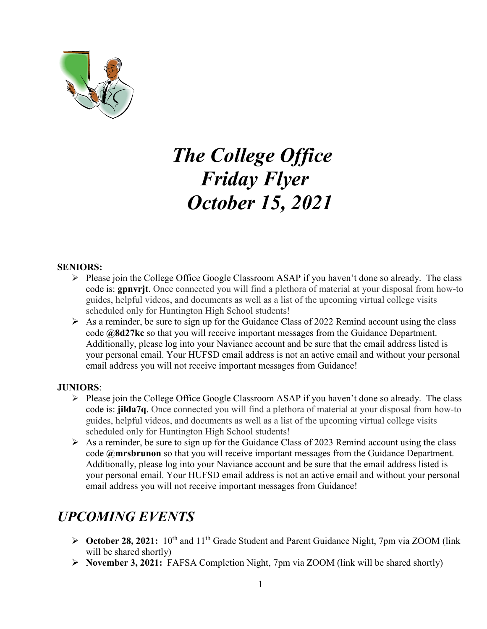

# *The College Office Friday Flyer October 15, 2021*

#### **SENIORS:**

- $\triangleright$  Please join the College Office Google Classroom ASAP if you haven't done so already. The class code is: **gpnvrjt**. Once connected you will find a plethora of material at your disposal from how-to guides, helpful videos, and documents as well as a list of the upcoming virtual college visits scheduled only for Huntington High School students!
- $\triangleright$  As a reminder, be sure to sign up for the Guidance Class of 2022 Remind account using the class code **@8d27kc** so that you will receive important messages from the Guidance Department. Additionally, please log into your Naviance account and be sure that the email address listed is your personal email. Your HUFSD email address is not an active email and without your personal email address you will not receive important messages from Guidance!

#### **JUNIORS**:

- $\triangleright$  Please join the College Office Google Classroom ASAP if you haven't done so already. The class code is: **jilda7q**. Once connected you will find a plethora of material at your disposal from how-to guides, helpful videos, and documents as well as a list of the upcoming virtual college visits scheduled only for Huntington High School students!
- $\triangleright$  As a reminder, be sure to sign up for the Guidance Class of 2023 Remind account using the class code **@mrsbrunon** so that you will receive important messages from the Guidance Department. Additionally, please log into your Naviance account and be sure that the email address listed is your personal email. Your HUFSD email address is not an active email and without your personal email address you will not receive important messages from Guidance!

# *UPCOMING EVENTS*

- **► October 28, 2021:** 10<sup>th</sup> and 11<sup>th</sup> Grade Student and Parent Guidance Night, 7pm via ZOOM (link will be shared shortly)
- **November 3, 2021:** FAFSA Completion Night, 7pm via ZOOM (link will be shared shortly)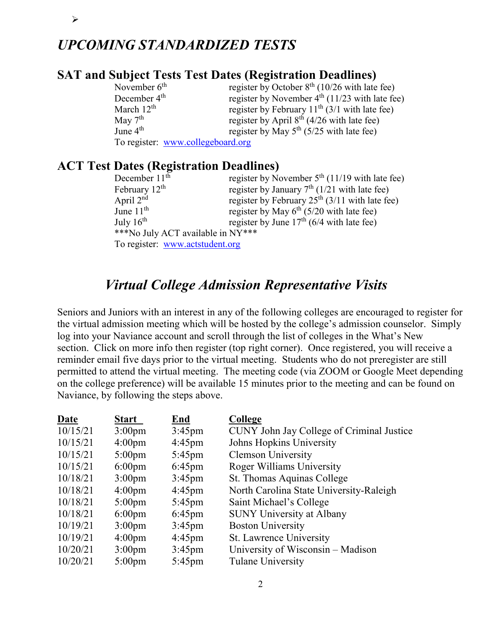# *UPCOMING STANDARDIZED TESTS*

 $\blacktriangleright$ 

### **SAT and Subject Tests Test Dates (Registration Deadlines)**

| November $6th$           | register by October $8th$ (10/26 with late fee)    |
|--------------------------|----------------------------------------------------|
| December 4 <sup>th</sup> | register by November $4th$ (11/23 with late fee)   |
| March $12^{th}$          | register by February $11^{th}$ (3/1 with late fee) |
| May $7th$                | register by April $8th$ (4/26 with late fee)       |
| June $4th$               | register by May $5th$ (5/25 with late fee)         |
|                          | To register: www.collegeboard.org                  |

### **ACT Test Dates (Registration Deadlines)**

| December $11th$                   | register by November $5th$ (11/19 with late fee)      |
|-----------------------------------|-------------------------------------------------------|
| February 12 <sup>th</sup>         | register by January $7th$ (1/21 with late fee)        |
| April $2nd$                       | register by February $25th$ (3/11 with late fee)      |
| June $11th$                       | register by May $6th$ (5/20 with late fee)            |
| July $16^{\text{th}}$             | register by June 17 <sup>th</sup> (6/4 with late fee) |
| ***No July ACT available in NY*** |                                                       |
| To register: www.actstudent.org   |                                                       |

### *Virtual College Admission Representative Visits*

Seniors and Juniors with an interest in any of the following colleges are encouraged to register for the virtual admission meeting which will be hosted by the college's admission counselor. Simply log into your Naviance account and scroll through the list of colleges in the What's New section. Click on more info then register (top right corner). Once registered, you will receive a reminder email five days prior to the virtual meeting. Students who do not preregister are still permitted to attend the virtual meeting. The meeting code (via ZOOM or Google Meet depending on the college preference) will be available 15 minutes prior to the meeting and can be found on Naviance, by following the steps above.

| Date     | <b>Start</b>       | End              | College                                   |
|----------|--------------------|------------------|-------------------------------------------|
| 10/15/21 | 3:00 <sub>pm</sub> | $3:45$ pm        | CUNY John Jay College of Criminal Justice |
| 10/15/21 | $4:00 \text{pm}$   | $4:45 \text{pm}$ | Johns Hopkins University                  |
| 10/15/21 | $5:00 \text{pm}$   | $5:45 \text{pm}$ | <b>Clemson University</b>                 |
| 10/15/21 | $6:00 \text{pm}$   | $6:45$ pm        | <b>Roger Williams University</b>          |
| 10/18/21 | $3:00 \text{pm}$   | $3:45 \text{pm}$ | St. Thomas Aquinas College                |
| 10/18/21 | 4:00 <sub>pm</sub> | $4:45$ pm        | North Carolina State University-Raleigh   |
| 10/18/21 | $5:00 \text{pm}$   | $5:45 \text{pm}$ | Saint Michael's College                   |
| 10/18/21 | $6:00 \text{pm}$   | $6:45$ pm        | <b>SUNY University at Albany</b>          |
| 10/19/21 | $3:00 \text{pm}$   | $3:45$ pm        | <b>Boston University</b>                  |
| 10/19/21 | 4:00 <sub>pm</sub> | $4:45 \text{pm}$ | <b>St. Lawrence University</b>            |
| 10/20/21 | $3:00 \text{pm}$   | $3:45 \text{pm}$ | University of Wisconsin – Madison         |
| 10/20/21 | $5:00 \text{pm}$   | $5:45$ pm        | Tulane University                         |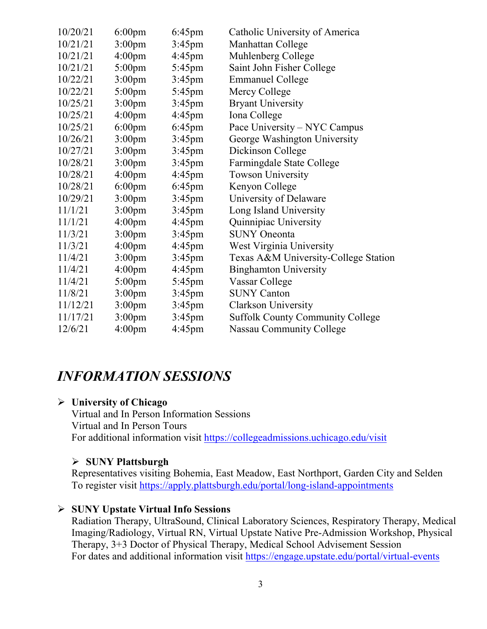| 10/20/21 | $6:00 \text{pm}$   | $6:45$ pm        | Catholic University of America          |
|----------|--------------------|------------------|-----------------------------------------|
| 10/21/21 | 3:00 <sub>pm</sub> | $3:45$ pm        | Manhattan College                       |
| 10/21/21 | 4:00 <sub>pm</sub> | $4:45 \text{pm}$ | Muhlenberg College                      |
| 10/21/21 | $5:00$ pm          | $5:45$ pm        | Saint John Fisher College               |
| 10/22/21 | $3:00$ pm          | $3:45$ pm        | <b>Emmanuel College</b>                 |
| 10/22/21 | $5:00$ pm          | $5:45$ pm        | Mercy College                           |
| 10/25/21 | 3:00 <sub>pm</sub> | $3:45$ pm        | <b>Bryant University</b>                |
| 10/25/21 | 4:00 <sub>pm</sub> | $4:45$ pm        | Iona College                            |
| 10/25/21 | $6:00 \text{pm}$   | $6:45$ pm        | Pace University – NYC Campus            |
| 10/26/21 | 3:00 <sub>pm</sub> | $3:45$ pm        | George Washington University            |
| 10/27/21 | 3:00 <sub>pm</sub> | $3:45$ pm        | Dickinson College                       |
| 10/28/21 | 3:00 <sub>pm</sub> | $3:45$ pm        | Farmingdale State College               |
| 10/28/21 | 4:00 <sub>pm</sub> | $4:45$ pm        | <b>Towson University</b>                |
| 10/28/21 | $6:00 \text{pm}$   | $6:45$ pm        | Kenyon College                          |
| 10/29/21 | 3:00 <sub>pm</sub> | $3:45$ pm        | University of Delaware                  |
| 11/1/21  | 3:00 <sub>pm</sub> | $3:45 \text{pm}$ | Long Island University                  |
| 11/1/21  | 4:00 <sub>pm</sub> | $4:45$ pm        | Quinnipiac University                   |
| 11/3/21  | 3:00 <sub>pm</sub> | $3:45$ pm        | <b>SUNY</b> Oneonta                     |
| 11/3/21  | 4:00 <sub>pm</sub> | $4:45$ pm        | West Virginia University                |
| 11/4/21  | 3:00 <sub>pm</sub> | $3:45$ pm        | Texas A&M University-College Station    |
| 11/4/21  | 4:00 <sub>pm</sub> | $4:45$ pm        | <b>Binghamton University</b>            |
| 11/4/21  | 5:00pm             | 5:45pm           | Vassar College                          |
| 11/8/21  | 3:00 <sub>pm</sub> | $3:45$ pm        | <b>SUNY Canton</b>                      |
| 11/12/21 | 3:00 <sub>pm</sub> | $3:45$ pm        | <b>Clarkson University</b>              |
| 11/17/21 | 3:00 <sub>pm</sub> | $3:45 \text{pm}$ | <b>Suffolk County Community College</b> |
| 12/6/21  | 4:00 <sub>pm</sub> | $4:45$ pm        | <b>Nassau Community College</b>         |

### *INFORMATION SESSIONS*

### **University of Chicago**

Virtual and In Person Information Sessions Virtual and In Person Tours For additional information visit<https://collegeadmissions.uchicago.edu/visit>

### **SUNY Plattsburgh**

Representatives visiting Bohemia, East Meadow, East Northport, Garden City and Selden To register visit<https://apply.plattsburgh.edu/portal/long-island-appointments>

### **SUNY Upstate Virtual Info Sessions**

Radiation Therapy, UltraSound, Clinical Laboratory Sciences, Respiratory Therapy, Medical Imaging/Radiology, Virtual RN, Virtual Upstate Native Pre-Admission Workshop, Physical Therapy, 3+3 Doctor of Physical Therapy, Medical School Advisement Session For dates and additional information visit<https://engage.upstate.edu/portal/virtual-events>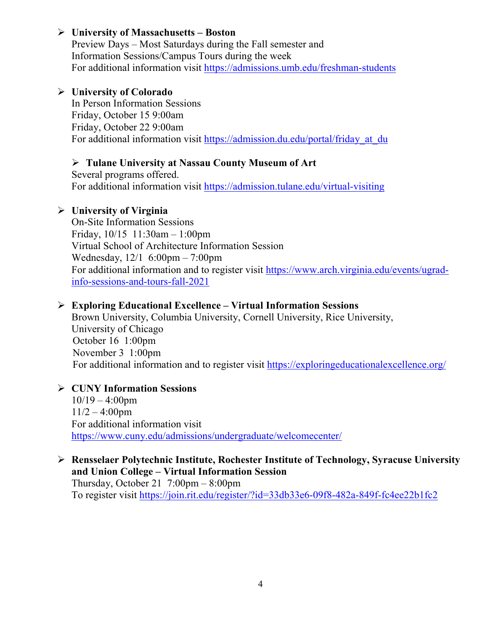### **University of Massachusetts – Boston**

Preview Days – Most Saturdays during the Fall semester and Information Sessions/Campus Tours during the week For additional information visit<https://admissions.umb.edu/freshman-students>

### **University of Colorado**

In Person Information Sessions Friday, October 15 9:00am Friday, October 22 9:00am For additional information visit https://admission.du.edu/portal/friday at du

### **Tulane University at Nassau County Museum of Art**

Several programs offered. For additional information visit<https://admission.tulane.edu/virtual-visiting>

### **University of Virginia**

On-Site Information Sessions Friday, 10/15 11:30am – 1:00pm Virtual School of Architecture Information Session Wednesday, 12/1 6:00pm – 7:00pm For additional information and to register visit [https://www.arch.virginia.edu/events/ugrad](https://www.arch.virginia.edu/events/ugrad-info-sessions-and-tours-fall-2021)[info-sessions-and-tours-fall-2021](https://www.arch.virginia.edu/events/ugrad-info-sessions-and-tours-fall-2021)

### **Exploring Educational Excellence – Virtual Information Sessions**

Brown University, Columbia University, Cornell University, Rice University, University of Chicago October 16 1:00pm November 3 1:00pm For additional information and to register visit<https://exploringeducationalexcellence.org/>

### **CUNY Information Sessions**  $10/19 - 4:00$ pm  $11/2 - 4:00$ pm For additional information visit <https://www.cuny.edu/admissions/undergraduate/welcomecenter/>

### **Rensselaer Polytechnic Institute, Rochester Institute of Technology, Syracuse University and Union College – Virtual Information Session**

Thursday, October 21  $7:00 \text{pm} - 8:00 \text{pm}$ To register visit<https://join.rit.edu/register/?id=33db33e6-09f8-482a-849f-fc4ee22b1fc2>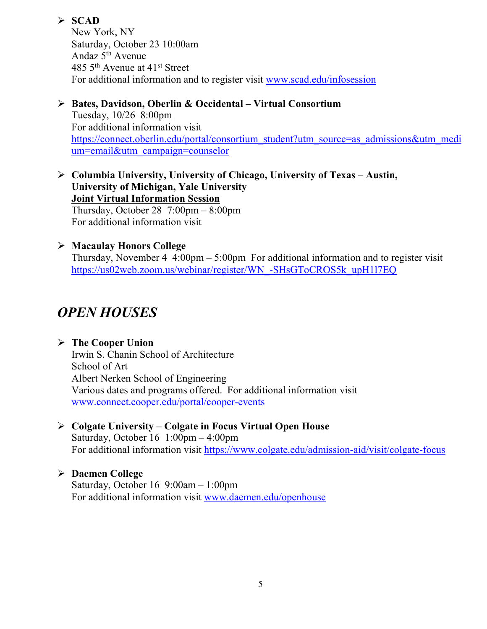### **SCAD**

New York, NY Saturday, October 23 10:00am Andaz  $5<sup>th</sup>$  Avenue 485 5th Avenue at 41st Street For additional information and to register visit [www.scad.edu/infosession](http://www.scad.edu/infosession)

- **Bates, Davidson, Oberlin & Occidental – Virtual Consortium** Tuesday, 10/26 8:00pm For additional information visit [https://connect.oberlin.edu/portal/consortium\\_student?utm\\_source=as\\_admissions&utm\\_medi](https://connect.oberlin.edu/portal/consortium_student?utm_source=as_admissions&utm_medium=email&utm_campaign=counselor) [um=email&utm\\_campaign=counselor](https://connect.oberlin.edu/portal/consortium_student?utm_source=as_admissions&utm_medium=email&utm_campaign=counselor)
- **Columbia University, University of Chicago, University of Texas – Austin, University of Michigan, Yale University Joint Virtual Information Session** Thursday, October 28  $7:00 \text{pm} - 8:00 \text{pm}$ For additional information visit

### **Macaulay Honors College**

Thursday, November 4  $4:00 \text{pm} - 5:00 \text{pm}$  For additional information and to register visit [https://us02web.zoom.us/webinar/register/WN\\_-SHsGToCROS5k\\_upH1l7EQ](https://us02web.zoom.us/webinar/register/WN_-SHsGToCROS5k_upH1l7EQ)

# *OPEN HOUSES*

### **The Cooper Union**

Irwin S. Chanin School of Architecture School of Art Albert Nerken School of Engineering Various dates and programs offered. For additional information visit [www.connect.cooper.edu/portal/cooper-events](http://www.connect.cooper.edu/portal/cooper-events)

#### **Colgate University – Colgate in Focus Virtual Open House** Saturday, October 16 1:00pm – 4:00pm For additional information visit<https://www.colgate.edu/admission-aid/visit/colgate-focus>

### **Daemen College**

Saturday, October 16 9:00am – 1:00pm For additional information visit [www.daemen.edu/openhouse](http://www.daemen.edu/openhouse)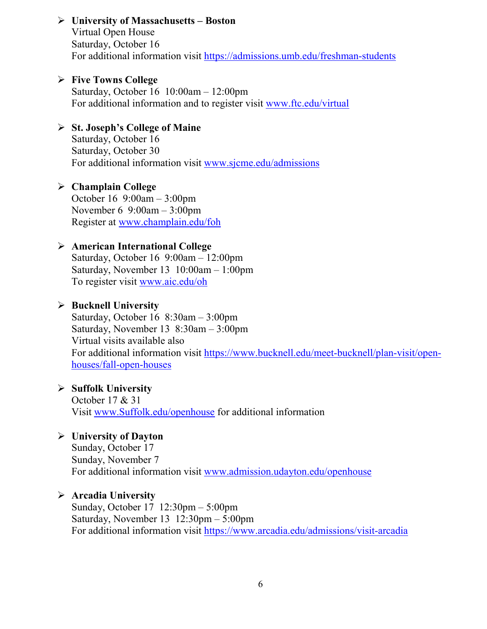**University of Massachusetts – Boston** Virtual Open House Saturday, October 16 For additional information visit<https://admissions.umb.edu/freshman-students>

### **Five Towns College**

Saturday, October 16 10:00am – 12:00pm For additional information and to register visit [www.ftc.edu/virtual](http://www.ftc.edu/virtual)

### **St. Joseph's College of Maine**

Saturday, October 16 Saturday, October 30 For additional information visit [www.sjcme.edu/admissions](http://www.sjcme.edu/admissions) 

### **Champlain College**

October 16 9:00am – 3:00pm November 6 9:00am – 3:00pm Register at [www.champlain.edu/foh](http://www.champlain.edu/foh)

### **American International College**

Saturday, October 16 9:00am – 12:00pm Saturday, November 13 10:00am – 1:00pm To register visit [www.aic.edu/oh](http://www.aic.edu/oh)

### **Bucknell University**

Saturday, October 16 8:30am – 3:00pm Saturday, November 13 8:30am – 3:00pm Virtual visits available also For additional information visit [https://www.bucknell.edu/meet-bucknell/plan-visit/open](https://www.bucknell.edu/meet-bucknell/plan-visit/open-houses/fall-open-houses)[houses/fall-open-houses](https://www.bucknell.edu/meet-bucknell/plan-visit/open-houses/fall-open-houses)

### **Suffolk University**

October 17 & 31 Visit [www.Suffolk.edu/openhouse](http://www.suffolk.edu/openhouse) for additional information

### **University of Dayton**

Sunday, October 17 Sunday, November 7 For additional information visit [www.admission.udayton.edu/openhouse](http://www.admission.udayton.edu/openhouse)

### **Arcadia University**

Sunday, October 17 12:30pm – 5:00pm Saturday, November 13 12:30pm – 5:00pm For additional information visit<https://www.arcadia.edu/admissions/visit-arcadia>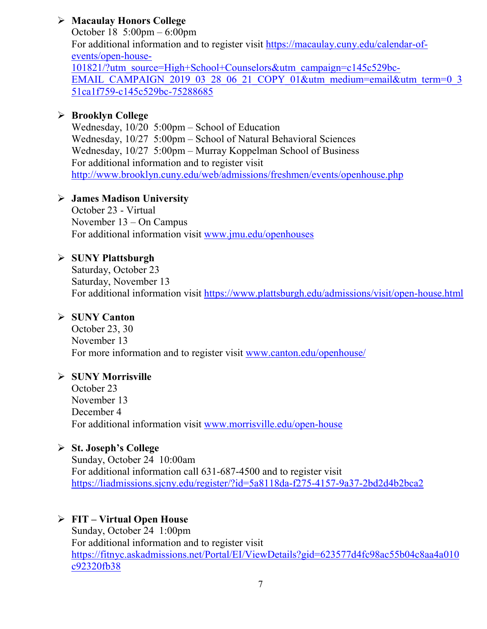### **Macaulay Honors College**

October 18 5:00pm – 6:00pm For additional information and to register visit [https://macaulay.cuny.edu/calendar-of](https://macaulay.cuny.edu/calendar-of-events/open-house-101821/?utm_source=High+School+Counselors&utm_campaign=c145c529bc-EMAIL_CAMPAIGN_2019_03_28_06_21_COPY_01&utm_medium=email&utm_term=0_351ca1f759-c145c529bc-75288685)[events/open-house-](https://macaulay.cuny.edu/calendar-of-events/open-house-101821/?utm_source=High+School+Counselors&utm_campaign=c145c529bc-EMAIL_CAMPAIGN_2019_03_28_06_21_COPY_01&utm_medium=email&utm_term=0_351ca1f759-c145c529bc-75288685)[101821/?utm\\_source=High+School+Counselors&utm\\_campaign=c145c529bc-](https://macaulay.cuny.edu/calendar-of-events/open-house-101821/?utm_source=High+School+Counselors&utm_campaign=c145c529bc-EMAIL_CAMPAIGN_2019_03_28_06_21_COPY_01&utm_medium=email&utm_term=0_351ca1f759-c145c529bc-75288685)[EMAIL\\_CAMPAIGN\\_2019\\_03\\_28\\_06\\_21\\_COPY\\_01&utm\\_medium=email&utm\\_term=0\\_3](https://macaulay.cuny.edu/calendar-of-events/open-house-101821/?utm_source=High+School+Counselors&utm_campaign=c145c529bc-EMAIL_CAMPAIGN_2019_03_28_06_21_COPY_01&utm_medium=email&utm_term=0_351ca1f759-c145c529bc-75288685) [51ca1f759-c145c529bc-75288685](https://macaulay.cuny.edu/calendar-of-events/open-house-101821/?utm_source=High+School+Counselors&utm_campaign=c145c529bc-EMAIL_CAMPAIGN_2019_03_28_06_21_COPY_01&utm_medium=email&utm_term=0_351ca1f759-c145c529bc-75288685)

### **Brooklyn College**

Wednesday, 10/20 5:00pm – School of Education Wednesday, 10/27 5:00pm – School of Natural Behavioral Sciences Wednesday, 10/27 5:00pm – Murray Koppelman School of Business For additional information and to register visit <http://www.brooklyn.cuny.edu/web/admissions/freshmen/events/openhouse.php>

### **James Madison University**

October 23 - Virtual November 13 – On Campus For additional information visit [www.jmu.edu/openhouses](http://www.jmu.edu/openhouses)

### **SUNY Plattsburgh**

Saturday, October 23 Saturday, November 13 For additional information visit<https://www.plattsburgh.edu/admissions/visit/open-house.html>

### **SUNY Canton**

October 23, 30 November 13 For more information and to register visit [www.canton.edu/openhouse/](http://www.canton.edu/openhouse/)

### **SUNY Morrisville**

October 23 November 13 December 4 For additional information visit [www.morrisville.edu/open-house](http://www.morrisville.edu/open-house)

### **St. Joseph's College**

Sunday, October 24 10:00am For additional information call 631-687-4500 and to register visit <https://liadmissions.sjcny.edu/register/?id=5a8118da-f275-4157-9a37-2bd2d4b2bca2>

### **FIT – Virtual Open House**

Sunday, October 24 1:00pm For additional information and to register visit [https://fitnyc.askadmissions.net/Portal/EI/ViewDetails?gid=623577d4fc98ac55b04c8aa4a010](https://fitnyc.askadmissions.net/Portal/EI/ViewDetails?gid=623577d4fc98ac55b04c8aa4a010c92320fb38) [c92320fb38](https://fitnyc.askadmissions.net/Portal/EI/ViewDetails?gid=623577d4fc98ac55b04c8aa4a010c92320fb38)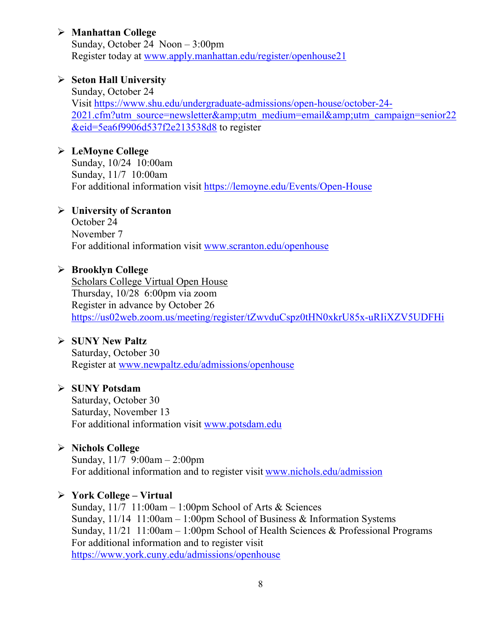### **Manhattan College**

Sunday, October 24 Noon – 3:00pm Register today at [www.apply.manhattan.edu/register/openhouse21](http://www.apply.manhattan.edu/register/openhouse21) 

### **Seton Hall University**

Sunday, October 24 Visit [https://www.shu.edu/undergraduate-admissions/open-house/october-24-](https://www.shu.edu/undergraduate-admissions/open-house/october-24-2021.cfm?utm_source=newsletter&utm_medium=email&utm_campaign=senior22&eid=5ea6f9906d537f2e213538d8) [2021.cfm?utm\\_source=newsletter&utm\\_medium=email&utm\\_campaign=senior22](https://www.shu.edu/undergraduate-admissions/open-house/october-24-2021.cfm?utm_source=newsletter&utm_medium=email&utm_campaign=senior22&eid=5ea6f9906d537f2e213538d8) [&eid=5ea6f9906d537f2e213538d8](https://www.shu.edu/undergraduate-admissions/open-house/october-24-2021.cfm?utm_source=newsletter&utm_medium=email&utm_campaign=senior22&eid=5ea6f9906d537f2e213538d8) to register

### **LeMoyne College**

Sunday, 10/24 10:00am Sunday, 11/7 10:00am For additional information visit<https://lemoyne.edu/Events/Open-House>

### **University of Scranton**

October 24 November 7 For additional information visit [www.scranton.edu/openhouse](http://www.scranton.edu/openhouse)

### **Brooklyn College**

Scholars College Virtual Open House Thursday, 10/28 6:00pm via zoom Register in advance by October 26 <https://us02web.zoom.us/meeting/register/tZwvduCspz0tHN0xkrU85x-uRIiXZV5UDFHi>

### **SUNY New Paltz**

Saturday, October 30 Register at [www.newpaltz.edu/admissions/openhouse](http://www.newpaltz.edu/admissions/openhouse)

### **SUNY Potsdam**

Saturday, October 30 Saturday, November 13 For additional information visit [www.potsdam.edu](http://www.potsdam.edu/)

### **Nichols College**

Sunday, 11/7 9:00am – 2:00pm For additional information and to register visit [www.nichols.edu/admission](http://www.nichols.edu/admission)

### **York College – Virtual**

Sunday,  $11/7$  11:00am – 1:00pm School of Arts & Sciences Sunday, 11/14 11:00am – 1:00pm School of Business & Information Systems Sunday, 11/21 11:00am – 1:00pm School of Health Sciences & Professional Programs For additional information and to register visit <https://www.york.cuny.edu/admissions/openhouse>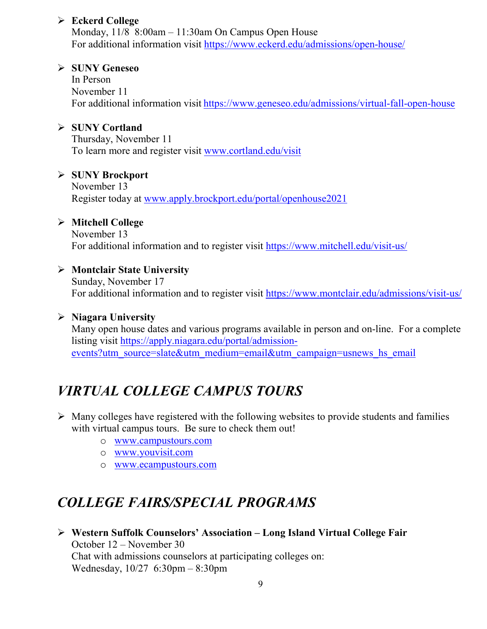### **Eckerd College**

Monday, 11/8 8:00am – 11:30am On Campus Open House For additional information visit<https://www.eckerd.edu/admissions/open-house/>

### **SUNY Geneseo**

In Person November 11 For additional information visit <https://www.geneseo.edu/admissions/virtual-fall-open-house>

### **SUNY Cortland**

Thursday, November 11 To learn more and register visit [www.cortland.edu/visit](http://www.cortland.edu/visit)

### **SUNY Brockport**

November 13 Register today at [www.apply.brockport.edu/portal/openhouse2021](http://www.apply.brockport.edu/portal/openhouse2021)

### **Mitchell College**

November 13 For additional information and to register visit<https://www.mitchell.edu/visit-us/>

### **Montclair State University**

Sunday, November 17 For additional information and to register visit<https://www.montclair.edu/admissions/visit-us/>

### **Niagara University**

Many open house dates and various programs available in person and on-line. For a complete listing visit [https://apply.niagara.edu/portal/admission](https://apply.niagara.edu/portal/admission-events?utm_source=slate&utm_medium=email&utm_campaign=usnews_hs_email)[events?utm\\_source=slate&utm\\_medium=email&utm\\_campaign=usnews\\_hs\\_email](https://apply.niagara.edu/portal/admission-events?utm_source=slate&utm_medium=email&utm_campaign=usnews_hs_email)

# *VIRTUAL COLLEGE CAMPUS TOURS*

- $\triangleright$  Many colleges have registered with the following websites to provide students and families with virtual campus tours. Be sure to check them out!
	- o [www.campustours.com](http://www.campustours.com/)
	- o [www.youvisit.com](http://www.youvisit.com/)
	- o [www.ecampustours.com](http://www.ecampustours.com/)

# *COLLEGE FAIRS/SPECIAL PROGRAMS*

 **Western Suffolk Counselors' Association – Long Island Virtual College Fair** October 12 – November 30 Chat with admissions counselors at participating colleges on: Wednesday, 10/27 6:30pm – 8:30pm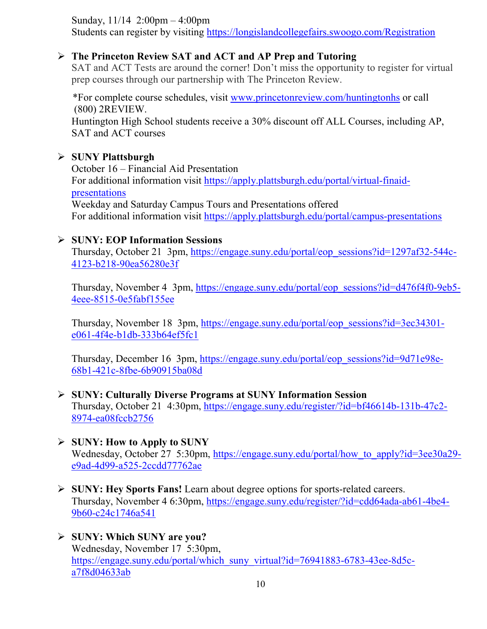Sunday, 11/14 2:00pm – 4:00pm

Students can register by visiting<https://longislandcollegefairs.swoogo.com/Registration>

### **The Princeton Review SAT and ACT and AP Prep and Tutoring**

SAT and ACT Tests are around the corner! Don't miss the opportunity to register for virtual prep courses through our partnership with The Princeton Review.

 \*For complete course schedules, visit [www.princetonreview.com/huntingtonhs](http://www.princetonreview.com/huntingtonhs) or call (800) 2REVIEW. Huntington High School students receive a 30% discount off ALL Courses, including AP, SAT and ACT courses

### **SUNY Plattsburgh**

October 16 – Financial Aid Presentation For additional information visit [https://apply.plattsburgh.edu/portal/virtual-finaid](https://apply.plattsburgh.edu/portal/virtual-finaid-presentations)[presentations](https://apply.plattsburgh.edu/portal/virtual-finaid-presentations) Weekday and Saturday Campus Tours and Presentations offered For additional information visit<https://apply.plattsburgh.edu/portal/campus-presentations>

### **SUNY: EOP Information Sessions**

Thursday, October 21 3pm, [https://engage.suny.edu/portal/eop\\_sessions?id=1297af32-544c-](https://engage.suny.edu/portal/eop_sessions?id=1297af32-544c-4123-b218-90ea56280e3f)[4123-b218-90ea56280e3f](https://engage.suny.edu/portal/eop_sessions?id=1297af32-544c-4123-b218-90ea56280e3f)

Thursday, November 4 3pm, [https://engage.suny.edu/portal/eop\\_sessions?id=d476f4f0-9eb5-](https://engage.suny.edu/portal/eop_sessions?id=d476f4f0-9eb5-4eee-8515-0e5fabf155ee) [4eee-8515-0e5fabf155ee](https://engage.suny.edu/portal/eop_sessions?id=d476f4f0-9eb5-4eee-8515-0e5fabf155ee)

Thursday, November 18 3pm, [https://engage.suny.edu/portal/eop\\_sessions?id=3ec34301](https://engage.suny.edu/portal/eop_sessions?id=3ec34301-e061-4f4e-b1db-333b64ef5fc1) [e061-4f4e-b1db-333b64ef5fc1](https://engage.suny.edu/portal/eop_sessions?id=3ec34301-e061-4f4e-b1db-333b64ef5fc1)

Thursday, December 16 3pm, [https://engage.suny.edu/portal/eop\\_sessions?id=9d71e98e-](https://engage.suny.edu/portal/eop_sessions?id=9d71e98e-68b1-421c-8fbe-6b90915ba08d)[68b1-421c-8fbe-6b90915ba08d](https://engage.suny.edu/portal/eop_sessions?id=9d71e98e-68b1-421c-8fbe-6b90915ba08d)

### **SUNY: Culturally Diverse Programs at SUNY Information Session**

Thursday, October 21 4:30pm, [https://engage.suny.edu/register/?id=bf46614b-131b-47c2-](https://engage.suny.edu/register/?id=bf46614b-131b-47c2-8974-ea08fccb2756) [8974-ea08fccb2756](https://engage.suny.edu/register/?id=bf46614b-131b-47c2-8974-ea08fccb2756)

- **SUNY: How to Apply to SUNY** Wednesday, October 27 5:30pm, [https://engage.suny.edu/portal/how\\_to\\_apply?id=3ee30a29](https://engage.suny.edu/portal/how_to_apply?id=3ee30a29-e9ad-4d99-a525-2ccdd77762ae) [e9ad-4d99-a525-2ccdd77762ae](https://engage.suny.edu/portal/how_to_apply?id=3ee30a29-e9ad-4d99-a525-2ccdd77762ae)
- **SUNY: Hey Sports Fans!** Learn about degree options for sports-related careers. Thursday, November 4 6:30pm, [https://engage.suny.edu/register/?id=cdd64ada-ab61-4be4-](https://engage.suny.edu/register/?id=cdd64ada-ab61-4be4-9b60-c24c1746a541) [9b60-c24c1746a541](https://engage.suny.edu/register/?id=cdd64ada-ab61-4be4-9b60-c24c1746a541)
- **SUNY: Which SUNY are you?** Wednesday, November 17 5:30pm, [https://engage.suny.edu/portal/which\\_suny\\_virtual?id=76941883-6783-43ee-8d5c](https://engage.suny.edu/portal/which_suny_virtual?id=76941883-6783-43ee-8d5c-a7f8d04633ab)[a7f8d04633ab](https://engage.suny.edu/portal/which_suny_virtual?id=76941883-6783-43ee-8d5c-a7f8d04633ab)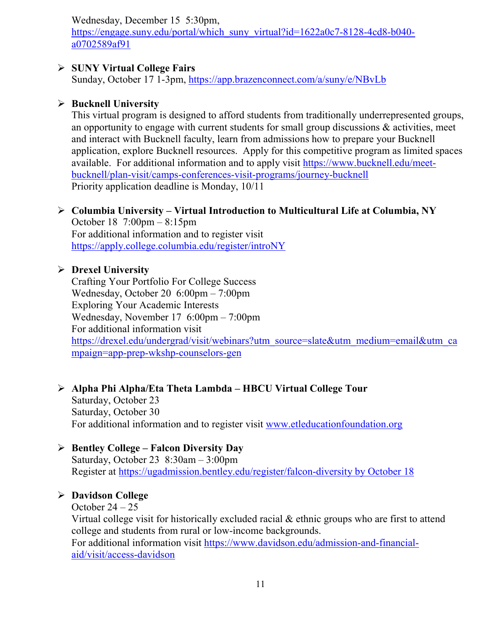Wednesday, December 15 5:30pm,

[https://engage.suny.edu/portal/which\\_suny\\_virtual?id=1622a0c7-8128-4cd8-b040](https://engage.suny.edu/portal/which_suny_virtual?id=1622a0c7-8128-4cd8-b040-a0702589af91) [a0702589af91](https://engage.suny.edu/portal/which_suny_virtual?id=1622a0c7-8128-4cd8-b040-a0702589af91)

### **SUNY Virtual College Fairs**

Sunday, October 17 1-3pm,<https://app.brazenconnect.com/a/suny/e/NBvLb>

### **Bucknell University**

This virtual program is designed to afford students from traditionally underrepresented groups, an opportunity to engage with current students for small group discussions  $\&$  activities, meet and interact with Bucknell faculty, learn from admissions how to prepare your Bucknell application, explore Bucknell resources. Apply for this competitive program as limited spaces available. For additional information and to apply visit [https://www.bucknell.edu/meet](https://www.bucknell.edu/meet-bucknell/plan-visit/camps-conferences-visit-programs/journey-bucknell)[bucknell/plan-visit/camps-conferences-visit-programs/journey-bucknell](https://www.bucknell.edu/meet-bucknell/plan-visit/camps-conferences-visit-programs/journey-bucknell) Priority application deadline is Monday, 10/11

### **Columbia University – Virtual Introduction to Multicultural Life at Columbia, NY**

October 18 7:00pm – 8:15pm For additional information and to register visit <https://apply.college.columbia.edu/register/introNY>

### **Drexel University**

Crafting Your Portfolio For College Success Wednesday, October 20 6:00pm – 7:00pm Exploring Your Academic Interests Wednesday, November 17 6:00pm – 7:00pm For additional information visit [https://drexel.edu/undergrad/visit/webinars?utm\\_source=slate&utm\\_medium=email&utm\\_ca](https://drexel.edu/undergrad/visit/webinars?utm_source=slate&utm_medium=email&utm_campaign=app-prep-wkshp-counselors-gen) [mpaign=app-prep-wkshp-counselors-gen](https://drexel.edu/undergrad/visit/webinars?utm_source=slate&utm_medium=email&utm_campaign=app-prep-wkshp-counselors-gen)

### **Alpha Phi Alpha/Eta Theta Lambda – HBCU Virtual College Tour**

Saturday, October 23 Saturday, October 30 For additional information and to register visit [www.etleducationfoundation.org](http://www.etleducationfoundation.org/)

### **Bentley College – Falcon Diversity Day**

Saturday, October 23 8:30am – 3:00pm Register at [https://ugadmission.bentley.edu/register/falcon-diversity by October 18](https://ugadmission.bentley.edu/register/falcon-diversity%20by%20October%2018)

### **Davidson College**

October  $24 - 25$ 

Virtual college visit for historically excluded racial & ethnic groups who are first to attend college and students from rural or low-income backgrounds.

For additional information visit [https://www.davidson.edu/admission-and-financial](https://www.davidson.edu/admission-and-financial-aid/visit/access-davidson)[aid/visit/access-davidson](https://www.davidson.edu/admission-and-financial-aid/visit/access-davidson)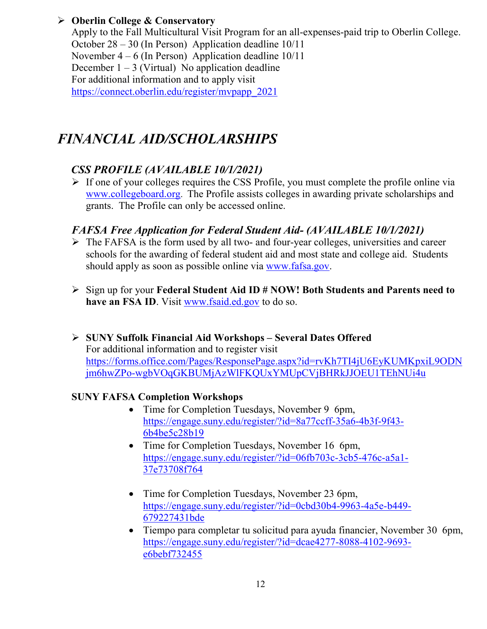### **Oberlin College & Conservatory**

Apply to the Fall Multicultural Visit Program for an all-expenses-paid trip to Oberlin College. October 28 – 30 (In Person) Application deadline 10/11 November  $4 - 6$  (In Person) Application deadline  $10/11$ December  $1 - 3$  (Virtual) No application deadline For additional information and to apply visit [https://connect.oberlin.edu/register/mvpapp\\_2021](https://connect.oberlin.edu/register/mvpapp_2021)

# *FINANCIAL AID/SCHOLARSHIPS*

### *CSS PROFILE (AVAILABLE 10/1/2021)*

 $\triangleright$  If one of your colleges requires the CSS Profile, you must complete the profile online via [www.collegeboard.org](http://www.collegeboard.org/). The Profile assists colleges in awarding private scholarships and grants. The Profile can only be accessed online.

### *FAFSA Free Application for Federal Student Aid- (AVAILABLE 10/1/2021)*

- $\triangleright$  The FAFSA is the form used by all two- and four-year colleges, universities and career schools for the awarding of [federal student aid](http://studentaid.ed.gov/students/publications/student_guide/2010-2011/english/typesofFSA_grants.htm) and most state and college aid. Students should apply as soon as possible online via [www.fafsa.gov.](http://www.fafsa.gov/)
- Sign up for your **Federal Student Aid ID # NOW! Both Students and Parents need to have an FSA ID**. Visit [www.fsaid.ed.gov](http://www.fsaid.ed.gov/) to do so.

 **SUNY Suffolk Financial Aid Workshops – Several Dates Offered** For additional information and to register visit [https://forms.office.com/Pages/ResponsePage.aspx?id=rvKh7TI4jU6EyKUMKpxiL9ODN](https://forms.office.com/Pages/ResponsePage.aspx?id=rvKh7TI4jU6EyKUMKpxiL9ODNjm6hwZPo-wgbVOqGKBUMjAzWlFKQUxYMUpCVjBHRkJJOEU1TEhNUi4u) [jm6hwZPo-wgbVOqGKBUMjAzWlFKQUxYMUpCVjBHRkJJOEU1TEhNUi4u](https://forms.office.com/Pages/ResponsePage.aspx?id=rvKh7TI4jU6EyKUMKpxiL9ODNjm6hwZPo-wgbVOqGKBUMjAzWlFKQUxYMUpCVjBHRkJJOEU1TEhNUi4u)

### **SUNY FAFSA Completion Workshops**

- Time for Completion Tuesdays, November 9 6pm, [https://engage.suny.edu/register/?id=8a77ccff-35a6-4b3f-9f43-](https://engage.suny.edu/register/?id=8a77ccff-35a6-4b3f-9f43-6b4be5c28b19) [6b4be5c28b19](https://engage.suny.edu/register/?id=8a77ccff-35a6-4b3f-9f43-6b4be5c28b19)
- Time for Completion Tuesdays, November 16 6pm, [https://engage.suny.edu/register/?id=06fb703c-3cb5-476c-a5a1-](https://engage.suny.edu/register/?id=06fb703c-3cb5-476c-a5a1-37e73708f764) [37e73708f764](https://engage.suny.edu/register/?id=06fb703c-3cb5-476c-a5a1-37e73708f764)
- Time for Completion Tuesdays, November 23 6pm, [https://engage.suny.edu/register/?id=0cbd30b4-9963-4a5e-b449-](https://engage.suny.edu/register/?id=0cbd30b4-9963-4a5e-b449-679227431bde) [679227431bde](https://engage.suny.edu/register/?id=0cbd30b4-9963-4a5e-b449-679227431bde)
- Tiempo para completar tu solicitud para ayuda financier, November 30 6pm, [https://engage.suny.edu/register/?id=dcae4277-8088-4102-9693](https://engage.suny.edu/register/?id=dcae4277-8088-4102-9693-e6bebf732455) [e6bebf732455](https://engage.suny.edu/register/?id=dcae4277-8088-4102-9693-e6bebf732455)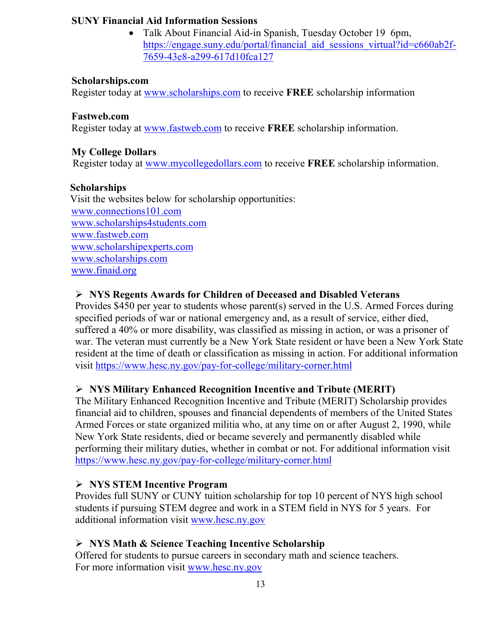### **SUNY Financial Aid Information Sessions**

• Talk About Financial Aid-in Spanish, Tuesday October 19 6pm, [https://engage.suny.edu/portal/financial\\_aid\\_sessions\\_virtual?id=c660ab2f-](https://engage.suny.edu/portal/financial_aid_sessions_virtual?id=c660ab2f-7659-43e8-a299-617d10fca127)[7659-43e8-a299-617d10fca127](https://engage.suny.edu/portal/financial_aid_sessions_virtual?id=c660ab2f-7659-43e8-a299-617d10fca127) 

### **Scholarships.com**

Register today at [www.scholarships.com](http://www.scholarships.com/) to receive **FREE** scholarship information

### **Fastweb.com**

Register today at [www.fastweb.com](http://www.fastweb.com/) to receive **FREE** scholarship information.

### **My College Dollars**

Register today at [www.mycollegedollars.com](http://www.mycollegedollars.com/) to receive **FREE** scholarship information.

### **Scholarships**

 Visit the websites below for scholarship opportunities: [www.connections101.com](http://www.connections101.com/) [www.scholarships4students.com](http://www.scholarships4students.com/) [www.fastweb.com](http://www.fastweb.com/) [www.scholarshipexperts.com](http://www.scholarshipexperts.com/) [www.scholarships.com](http://www.scholarships.com/) [www.finaid.org](http://www.finaid.org/)

### **NYS Regents Awards for Children of Deceased and Disabled Veterans**

Provides \$450 per year to students whose parent(s) served in the U.S. Armed Forces during specified periods of war or national emergency and, as a result of service, either died, suffered a 40% or more disability, was classified as missing in action, or was a prisoner of war. The veteran must currently be a New York State resident or have been a New York State resident at the time of death or classification as missing in action. For additional information visit<https://www.hesc.ny.gov/pay-for-college/military-corner.html>

### **NYS Military Enhanced Recognition Incentive and Tribute (MERIT)**

The Military Enhanced Recognition Incentive and Tribute (MERIT) Scholarship provides financial aid to children, spouses and financial dependents of members of the United States Armed Forces or state organized militia who, at any time on or after August 2, 1990, while New York State residents, died or became severely and permanently disabled while performing their military duties, whether in combat or not. For additional information visit <https://www.hesc.ny.gov/pay-for-college/military-corner.html>

### **NYS STEM Incentive Program**

Provides full SUNY or CUNY tuition scholarship for top 10 percent of NYS high school students if pursuing STEM degree and work in a STEM field in NYS for 5 years. For additional information visit [www.hesc.ny.gov](http://www.hesc.ny.gov/)

### **NYS Math & Science Teaching Incentive Scholarship**

Offered for students to pursue careers in secondary math and science teachers. For more information visit [www.hesc.ny.gov](http://www.hesc.ny.gov/)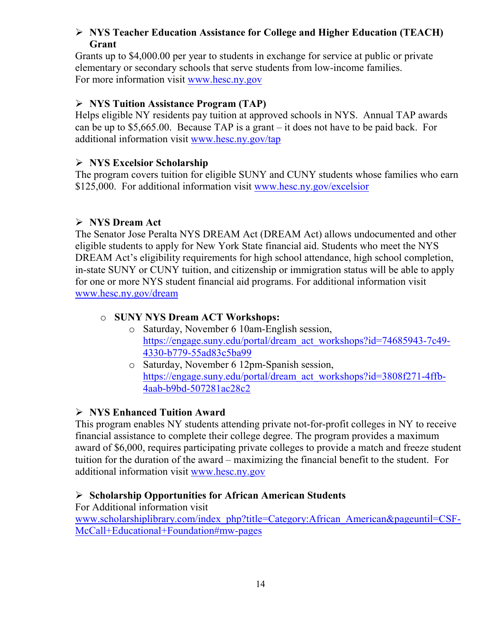### **NYS Teacher Education Assistance for College and Higher Education (TEACH) Grant**

Grants up to \$4,000.00 per year to students in exchange for service at public or private elementary or secondary schools that serve students from low-income families. For more information visit [www.hesc.ny.gov](http://www.hesc.ny.gov/) 

### **NYS Tuition Assistance Program (TAP)**

Helps eligible NY residents pay tuition at approved schools in NYS. Annual TAP awards can be up to \$5,665.00. Because TAP is a grant – it does not have to be paid back. For additional information visit [www.hesc.ny.gov/tap](http://www.hesc.ny.gov/tap)

### **NYS Excelsior Scholarship**

The program covers tuition for eligible SUNY and CUNY students whose families who earn \$125,000. For additional information visit [www.hesc.ny.gov/](http://www.hesc.ny.gov/)excelsior

### **NYS Dream Act**

The Senator Jose Peralta NYS DREAM Act (DREAM Act) allows undocumented and other eligible students to apply for New York State financial aid. Students who meet the NYS DREAM Act's eligibility requirements for high school attendance, high school completion, in-state SUNY or CUNY tuition, and citizenship or immigration status will be able to apply for one or more NYS student financial aid programs. For additional information visit [www.hesc.ny.gov/dream](http://www.hesc.ny.gov/dream)

### o **SUNY NYS Dream ACT Workshops:**

- o Saturday, November 6 10am-English session, [https://engage.suny.edu/portal/dream\\_act\\_workshops?id=74685943-7c49-](https://engage.suny.edu/portal/dream_act_workshops?id=74685943-7c49-4330-b779-55ad83c5ba99) [4330-b779-55ad83c5ba99](https://engage.suny.edu/portal/dream_act_workshops?id=74685943-7c49-4330-b779-55ad83c5ba99)
- o Saturday, November 6 12pm-Spanish session, [https://engage.suny.edu/portal/dream\\_act\\_workshops?id=3808f271-4ffb-](https://engage.suny.edu/portal/dream_act_workshops?id=3808f271-4ffb-4aab-b9bd-507281ac28c2)[4aab-b9bd-507281ac28c2](https://engage.suny.edu/portal/dream_act_workshops?id=3808f271-4ffb-4aab-b9bd-507281ac28c2)

### **NYS Enhanced Tuition Award**

This program enables NY students attending private not-for-profit colleges in NY to receive financial assistance to complete their college degree. The program provides a maximum award of \$6,000, requires participating private colleges to provide a match and freeze student tuition for the duration of the award – maximizing the financial benefit to the student. For additional information visit [www.hesc.ny.gov](http://www.hesc.ny.gov/)

### **Scholarship Opportunities for African American Students**

For Additional information visit

[www.scholarshiplibrary.com/index\\_php?title=Category:African\\_American&pageuntil=CSF-](http://www.scholarshiplibrary.com/index_php?title=Category:African_American&pageuntil=CSF-McCall+Educational+Foundation#mw-pages)[McCall+Educational+Foundation#mw-pages](http://www.scholarshiplibrary.com/index_php?title=Category:African_American&pageuntil=CSF-McCall+Educational+Foundation#mw-pages)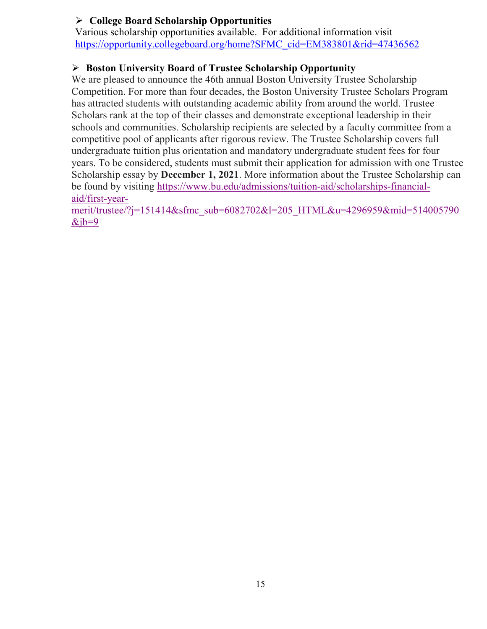### **College Board Scholarship Opportunities**

Various scholarship opportunities available. For additional information visit [https://opportunity.collegeboard.org/home?SFMC\\_cid=EM383801&rid=47436562](https://opportunity.collegeboard.org/home?SFMC_cid=EM383801&rid=47436562)

### **Boston University Board of Trustee Scholarship Opportunity**

We are pleased to announce the 46th annual Boston University Trustee Scholarship Competition. For more than four decades, the Boston University Trustee Scholars Program has attracted students with outstanding academic ability from around the world. Trustee Scholars rank at the top of their classes and demonstrate exceptional leadership in their schools and communities. Scholarship recipients are selected by a faculty committee from a competitive pool of applicants after rigorous review. The Trustee Scholarship covers full undergraduate tuition plus orientation and mandatory undergraduate student fees for four years. To be considered, students must submit their application for admission with one Trustee Scholarship essay by **December 1, 2021**. More information about the Trustee Scholarship can be found by visiting [https://www.bu.edu/admissions/tuition-aid/scholarships-financial](https://www.bu.edu/admissions/tuition-aid/scholarships-financial-aid/first-year-merit/trustee/?j=151414&sfmc_sub=6082702&l=205_HTML&u=4296959&mid=514005790&jb=9)[aid/first-year-](https://www.bu.edu/admissions/tuition-aid/scholarships-financial-aid/first-year-merit/trustee/?j=151414&sfmc_sub=6082702&l=205_HTML&u=4296959&mid=514005790&jb=9)

[merit/trustee/?j=151414&sfmc\\_sub=6082702&l=205\\_HTML&u=4296959&mid=514005790](https://www.bu.edu/admissions/tuition-aid/scholarships-financial-aid/first-year-merit/trustee/?j=151414&sfmc_sub=6082702&l=205_HTML&u=4296959&mid=514005790&jb=9)  $&$ jb=9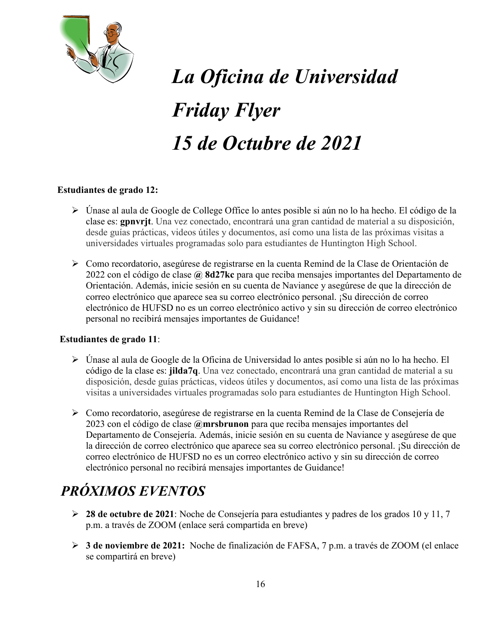

# *La Oficina de Universidad Friday Flyer 15 de Octubre de 2021*

### **Estudiantes de grado 12:**

- Únase al aula de Google de College Office lo antes posible si aún no lo ha hecho. El código de la clase es: **gpnvrjt**. Una vez conectado, encontrará una gran cantidad de material a su disposición, desde guías prácticas, videos útiles y documentos, así como una lista de las próximas visitas a universidades virtuales programadas solo para estudiantes de Huntington High School.
- Como recordatorio, asegúrese de registrarse en la cuenta Remind de la Clase de Orientación de 2022 con el código de clase **@ 8d27kc** para que reciba mensajes importantes del Departamento de Orientación. Además, inicie sesión en su cuenta de Naviance y asegúrese de que la dirección de correo electrónico que aparece sea su correo electrónico personal. ¡Su dirección de correo electrónico de HUFSD no es un correo electrónico activo y sin su dirección de correo electrónico personal no recibirá mensajes importantes de Guidance!

### **Estudiantes de grado 11**:

- $\triangleright$  Únase al aula de Google de la Oficina de Universidad lo antes posible si aún no lo ha hecho. El código de la clase es: **jilda7q**. Una vez conectado, encontrará una gran cantidad de material a su disposición, desde guías prácticas, videos útiles y documentos, así como una lista de las próximas visitas a universidades virtuales programadas solo para estudiantes de Huntington High School.
- Como recordatorio, asegúrese de registrarse en la cuenta Remind de la Clase de Consejería de 2023 con el código de clase **@mrsbrunon** para que reciba mensajes importantes del Departamento de Consejería. Además, inicie sesión en su cuenta de Naviance y asegúrese de que la dirección de correo electrónico que aparece sea su correo electrónico personal. ¡Su dirección de correo electrónico de HUFSD no es un correo electrónico activo y sin su dirección de correo electrónico personal no recibirá mensajes importantes de Guidance!

# *PRÓXIMOS EVENTOS*

- **28 de octubre de 2021**: Noche de Consejería para estudiantes y padres de los grados 10 y 11, 7 p.m. a través de ZOOM (enlace será compartida en breve)
- **3 de noviembre de 2021:** Noche de finalización de FAFSA, 7 p.m. a través de ZOOM (el enlace se compartirá en breve)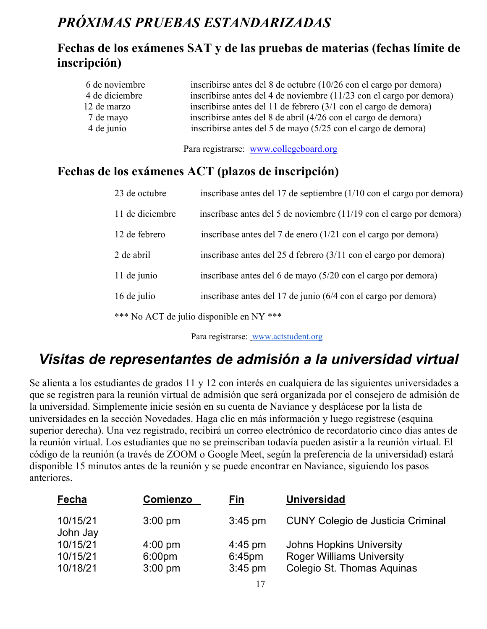# *PRÓXIMAS PRUEBAS ESTANDARIZADAS*

### **Fechas de los exámenes SAT y de las pruebas de materias (fechas límite de inscripción)**

| 6 de noviembre | inscribirse antes del 8 de octubre $(10/26 \text{ con el cargo por demora})$ |
|----------------|------------------------------------------------------------------------------|
| 4 de diciembre | inscribirse antes del 4 de noviembre (11/23 con el cargo por demora)         |
| 12 de marzo    | inscribirse antes del 11 de febrero (3/1 con el cargo de demora)             |
| 7 de mayo      | inscribirse antes del 8 de abril (4/26 con el cargo de demora)               |
| 4 de junio     | inscribirse antes del 5 de mayo (5/25 con el cargo de demora)                |
|                |                                                                              |

Para registrarse: [www.collegeboard.org](http://www.collegeboard.org/)

### **Fechas de los exámenes ACT (plazos de inscripción)**

| 23 de octubre   | inscríbase antes del 17 de septiembre (1/10 con el cargo por demora)       |
|-----------------|----------------------------------------------------------------------------|
| 11 de diciembre | inscríbase antes del 5 de noviembre (11/19 con el cargo por demora)        |
| 12 de febrero   | inscríbase antes del 7 de enero (1/21 con el cargo por demora)             |
| 2 de abril      | inscríbase antes del 25 d febrero $(3/11 \text{ con el cargo por demora})$ |
| 11 de junio     | inscríbase antes del 6 de mayo (5/20 con el cargo por demora)              |
| 16 de julio     | inscríbase antes del 17 de junio (6/4 con el cargo por demora)             |
|                 | *** No ACT de julio disponible en NY ***                                   |

Para registrarse: [www.actstudent.org](http://www.actstudent.org/)

# *Visitas de representantes de admisión a la universidad virtual*

Se alienta a los estudiantes de grados 11 y 12 con interés en cualquiera de las siguientes universidades a que se registren para la reunión virtual de admisión que será organizada por el consejero de admisión de la universidad. Simplemente inicie sesión en su cuenta de Naviance y desplácese por la lista de universidades en la sección Novedades. Haga clic en más información y luego regístrese (esquina superior derecha). Una vez registrado, recibirá un correo electrónico de recordatorio cinco días antes de la reunión virtual. Los estudiantes que no se preinscriban todavía pueden asistir a la reunión virtual. El código de la reunión (a través de ZOOM o Google Meet, según la preferencia de la universidad) estará disponible 15 minutos antes de la reunión y se puede encontrar en Naviance, siguiendo los pasos anteriores.

| Fecha                | Comienzo           | <u>Fin</u>        | <b>Universidad</b>                       |
|----------------------|--------------------|-------------------|------------------------------------------|
| 10/15/21<br>John Jay | $3:00$ pm          | $3:45$ pm         | <b>CUNY Colegio de Justicia Criminal</b> |
| 10/15/21             | $4:00 \text{ pm}$  | $4:45 \text{ pm}$ | <b>Johns Hopkins University</b>          |
| 10/15/21             | 6:00 <sub>pm</sub> | $6:45$ pm         | <b>Roger Williams University</b>         |
| 10/18/21             | $3:00$ pm          | $3:45$ pm         | Colegio St. Thomas Aquinas               |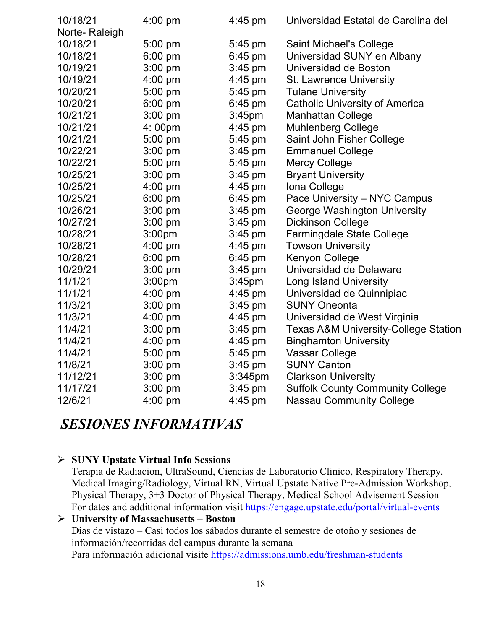| 10/18/21      | $4:00$ pm          | $4:45 \text{ pm}$  | Universidad Estatal de Carolina del             |
|---------------|--------------------|--------------------|-------------------------------------------------|
| Norte-Raleigh |                    |                    |                                                 |
| 10/18/21      | $5:00$ pm          | 5:45 pm            | Saint Michael's College                         |
| 10/18/21      | 6:00 pm            | $6:45$ pm          | Universidad SUNY en Albany                      |
| 10/19/21      | $3:00$ pm          | $3:45$ pm          | Universidad de Boston                           |
| 10/19/21      | 4:00 pm            | $4:45$ pm          | St. Lawrence University                         |
| 10/20/21      | 5:00 pm            | 5:45 pm            | <b>Tulane University</b>                        |
| 10/20/21      | $6:00$ pm          | $6:45$ pm          | <b>Catholic University of America</b>           |
| 10/21/21      | $3:00$ pm          | 3:45 <sub>pm</sub> | <b>Manhattan College</b>                        |
| 10/21/21      | 4:00pm             | 4:45 pm            | <b>Muhlenberg College</b>                       |
| 10/21/21      | 5:00 pm            | 5:45 pm            | Saint John Fisher College                       |
| 10/22/21      | $3:00$ pm          | $3:45$ pm          | <b>Emmanuel College</b>                         |
| 10/22/21      | 5:00 pm            | 5:45 pm            | <b>Mercy College</b>                            |
| 10/25/21      | 3:00 pm            | $3:45$ pm          | <b>Bryant University</b>                        |
| 10/25/21      | $4:00$ pm          | 4:45 pm            | Iona College                                    |
| 10/25/21      | $6:00$ pm          | $6:45$ pm          | Pace University – NYC Campus                    |
| 10/26/21      | $3:00$ pm          | $3:45$ pm          | George Washington University                    |
| 10/27/21      | $3:00$ pm          | $3:45$ pm          | <b>Dickinson College</b>                        |
| 10/28/21      | 3:00pm             | $3:45$ pm          | <b>Farmingdale State College</b>                |
| 10/28/21      | $4:00$ pm          | 4:45 pm            | <b>Towson University</b>                        |
| 10/28/21      | $6:00$ pm          | $6:45$ pm          | Kenyon College                                  |
| 10/29/21      | $3:00$ pm          | $3:45$ pm          | Universidad de Delaware                         |
| 11/1/21       | 3:00 <sub>pm</sub> | 3:45 <sub>pm</sub> | <b>Long Island University</b>                   |
| 11/1/21       | $4:00$ pm          | 4:45 pm            | Universidad de Quinnipiac                       |
| 11/3/21       | $3:00$ pm          | $3:45$ pm          | <b>SUNY Oneonta</b>                             |
| 11/3/21       | $4:00$ pm          | $4:45$ pm          | Universidad de West Virginia                    |
| 11/4/21       | $3:00$ pm          | $3:45$ pm          | <b>Texas A&amp;M University-College Station</b> |
| 11/4/21       | $4:00$ pm          | 4:45 pm            | <b>Binghamton University</b>                    |
| 11/4/21       | 5:00 pm            | 5:45 pm            | <b>Vassar College</b>                           |
| 11/8/21       | $3:00$ pm          | $3:45$ pm          | <b>SUNY Canton</b>                              |
| 11/12/21      | $3:00$ pm          | 3:345pm            | <b>Clarkson University</b>                      |
| 11/17/21      | $3:00$ pm          | $3:45$ pm          | <b>Suffolk County Community College</b>         |
| 12/6/21       | 4:00 pm            | $4:45$ pm          | <b>Nassau Community College</b>                 |
|               |                    |                    |                                                 |

## *SESIONES INFORMATIVAS*

### **SUNY Upstate Virtual Info Sessions**

Terapia de Radiacion, UltraSound, Ciencias de Laboratorio Clinico, Respiratory Therapy, Medical Imaging/Radiology, Virtual RN, Virtual Upstate Native Pre-Admission Workshop, Physical Therapy, 3+3 Doctor of Physical Therapy, Medical School Advisement Session For dates and additional information visit<https://engage.upstate.edu/portal/virtual-events>

### **University of Massachusetts – Boston** Dias de vistazo – Casi todos los sábados durante el semestre de otoño y sesiones de información/recorridas del campus durante la semana Para información adicional visite<https://admissions.umb.edu/freshman-students>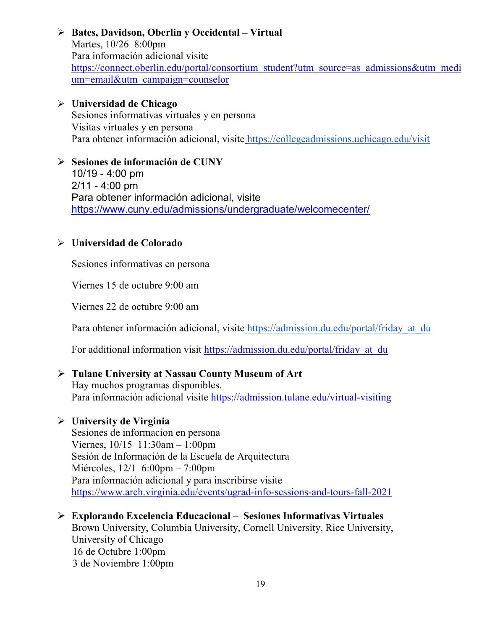### **Bates, Davidson, Oberlin y Occidental – Virtual**

Martes, 10/26 8:00pm Para información adicional visite [https://connect.oberlin.edu/portal/consortium\\_student?utm\\_source=as\\_admissions&utm\\_medi](https://connect.oberlin.edu/portal/consortium_student?utm_source=as_admissions&utm_medium=email&utm_campaign=counselor) [um=email&utm\\_campaign=counselor](https://connect.oberlin.edu/portal/consortium_student?utm_source=as_admissions&utm_medium=email&utm_campaign=counselor)

### **Universidad de Chicago**

Sesiones informativas virtuales y en persona Visitas virtuales y en persona Para obtener información adicional, visite <https://collegeadmissions.uchicago.edu/visit>

### **Sesiones de información de CUNY**

10/19 - 4:00 pm  $2/11 - 4:00$  pm Para obtener información adicional, visit[e](https://www.cuny.edu/admissions/undergraduate/welcomecenter/) <https://www.cuny.edu/admissions/undergraduate/welcomecenter/>

### **Universidad de Colorado**

Sesiones informativas en persona

Viernes 15 de octubre 9:00 am

Viernes 22 de octubre 9:00 am

Para obtener información adicional, visite https://admission.du.edu/portal/friday at du

For additional information visit [https://admission.du.edu/portal/friday\\_at\\_du](https://admission.du.edu/portal/friday_at_du)

### **Tulane University at Nassau County Museum of Art**

Hay muchos programas disponibles. Para información adicional visite <https://admission.tulane.edu/virtual-visiting>

### **University de Virginia**

Sesiones de informacion en persona Viernes, 10/15 11:30am – 1:00pm Sesión de Información de la Escuela de Arquitectura Miércoles, 12/1 6:00pm – 7:00pm Para información adicional y para inscribirse visite <https://www.arch.virginia.edu/events/ugrad-info-sessions-and-tours-fall-2021>

### **Explorando Excelencia Educacional – Sesiones Informativas Virtuales**

Brown University, Columbia University, Cornell University, Rice University, University of Chicago 16 de Octubre 1:00pm 3 de Noviembre 1:00pm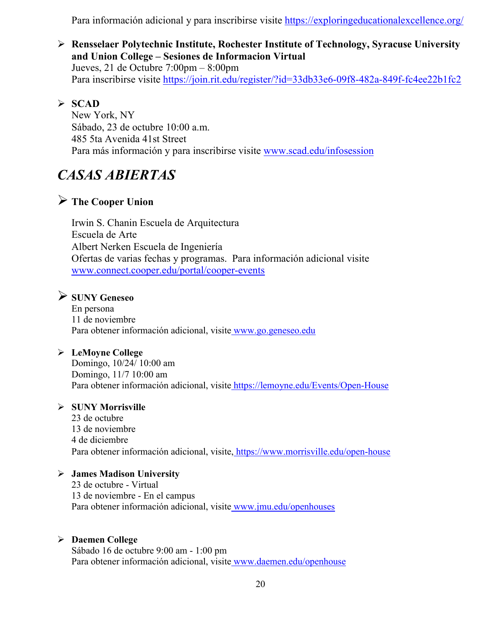Para información adicional y para inscribirse visite<https://exploringeducationalexcellence.org/>

 **Rensselaer Polytechnic Institute, Rochester Institute of Technology, Syracuse University and Union College – Sesiones de Informacion Virtual** Jueves, 21 de Octubre 7:00pm – 8:00pm Para inscribirse visite<https://join.rit.edu/register/?id=33db33e6-09f8-482a-849f-fc4ee22b1fc2>

### **SCAD**

New York, NY Sábado, 23 de octubre 10:00 a.m. 485 5ta Avenida 41st Street Para más información y para inscribirse visite [www.scad.edu/infosession](http://www.scad.edu/infosession)

# *CASAS ABIERTAS*

### **The Cooper Union**

Irwin S. Chanin Escuela de Arquitectura Escuela de Arte Albert Nerken Escuela de Ingeniería Ofertas de varias fechas y programas. Para información adicional visite [www.connect.cooper.edu/portal/cooper-events](http://www.connect.cooper.edu/portal/cooper-events)

### **SUNY Geneseo**

En persona 11 de noviembre Para obtener información adicional, visite [www.go.geneseo.edu](http://www.go.geneseo.edu/)

### **LeMoyne College**

Domingo, 10/24/ 10:00 am Domingo, 11/7 10:00 am Para obtener información adicional, visite <https://lemoyne.edu/Events/Open-House>

### **SUNY Morrisville**

23 de octubre 13 de noviembre 4 de diciembre Para obtener información adicional, visite, <https://www.morrisville.edu/open-house>

### **James Madison University**

23 de octubre - Virtual 13 de noviembre - En el campus Para obtener información adicional, visite [www.jmu.edu/openhouses](http://www.jmu.edu/openhouses)

### **Daemen College**

Sábado 16 de octubre 9:00 am - 1:00 pm Para obtener información adicional, visite [www.daemen.edu/openhouse](http://www.daemen.edu/openhouse)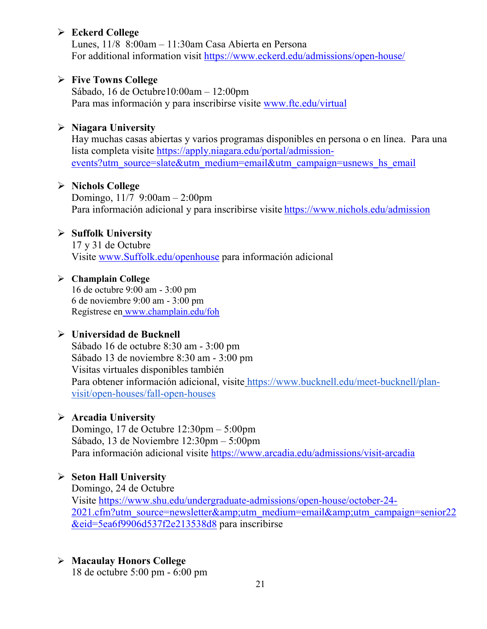### **Eckerd College**

Lunes, 11/8 8:00am – 11:30am Casa Abierta en Persona For additional information visit<https://www.eckerd.edu/admissions/open-house/>

### **Five Towns College**

Sábado, 16 de Octubre10:00am – 12:00pm Para mas información y para inscribirse visite [www.ftc.edu/virtual](http://www.ftc.edu/virtual)

### **Niagara University**

Hay muchas casas abiertas y varios programas disponibles en persona o en línea. Para una lista completa visite [https://apply.niagara.edu/portal/admission](https://apply.niagara.edu/portal/admission-events?utm_source=slate&utm_medium=email&utm_campaign=usnews_hs_email)[events?utm\\_source=slate&utm\\_medium=email&utm\\_campaign=usnews\\_hs\\_email](https://apply.niagara.edu/portal/admission-events?utm_source=slate&utm_medium=email&utm_campaign=usnews_hs_email)

### **Nichols College**

Domingo, 11/7 9:00am – 2:00pm Para información adicional y para inscribirse visite <https://www.nichols.edu/admission>

### **Suffolk University**

17 y 31 de Octubre Visite [www.Suffolk.edu/openhouse](http://www.suffolk.edu/openhouse) para información adicional

### **Champlain College**

16 de octubre 9:00 am - 3:00 pm 6 de noviembre 9:00 am - 3:00 pm Regístrese en [www.champlain.edu/foh](http://www.champlain.edu/foh)

### **Universidad de Bucknell**

Sábado 16 de octubre 8:30 am - 3:00 pm Sábado 13 de noviembre 8:30 am - 3:00 pm Visitas virtuales disponibles también Para obtener información adicional, visite [https://www.bucknell.edu/meet-bucknell/plan](https://www.bucknell.edu/meet-bucknell/plan-visit/open-houses/fall-open-houses)[visit/open-houses/fall-open-houses](https://www.bucknell.edu/meet-bucknell/plan-visit/open-houses/fall-open-houses)

### **Arcadia University**

Domingo, 17 de Octubre 12:30pm – 5:00pm Sábado, 13 de Noviembre 12:30pm – 5:00pm Para información adicional visite <https://www.arcadia.edu/admissions/visit-arcadia>

### **Seton Hall University**

Domingo, 24 de Octubre Visite [https://www.shu.edu/undergraduate-admissions/open-house/october-24-](https://www.shu.edu/undergraduate-admissions/open-house/october-24-2021.cfm?utm_source=newsletter&utm_medium=email&utm_campaign=senior22&eid=5ea6f9906d537f2e213538d8) [2021.cfm?utm\\_source=newsletter&utm\\_medium=email&utm\\_campaign=senior22](https://www.shu.edu/undergraduate-admissions/open-house/october-24-2021.cfm?utm_source=newsletter&utm_medium=email&utm_campaign=senior22&eid=5ea6f9906d537f2e213538d8) [&eid=5ea6f9906d537f2e213538d8](https://www.shu.edu/undergraduate-admissions/open-house/october-24-2021.cfm?utm_source=newsletter&utm_medium=email&utm_campaign=senior22&eid=5ea6f9906d537f2e213538d8) para inscribirse

### **Macaulay Honors College**

18 de octubre 5:00 pm - 6:00 pm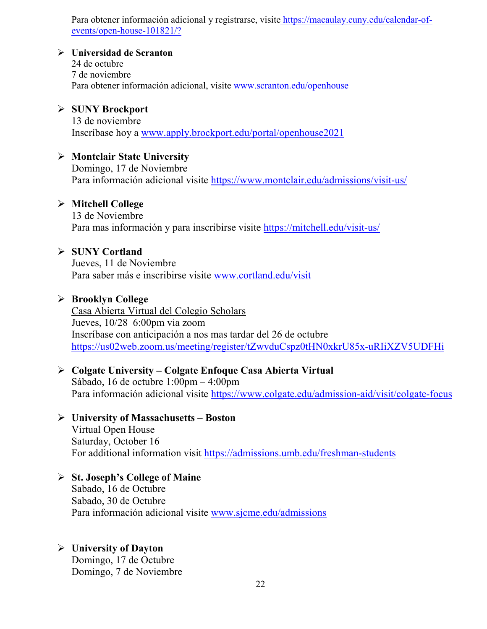Para obtener información adicional y registrarse, visite [https://macaulay.cuny.edu/calendar-of](https://macaulay.cuny.edu/calendar-of-events/open-house-101821/?)[events/open-house-101821/?](https://macaulay.cuny.edu/calendar-of-events/open-house-101821/?)

### **Universidad de Scranton**

24 de octubre 7 de noviembre Para obtener información adicional, visite [www.scranton.edu/openhouse](http://www.scranton.edu/openhouse)

### **SUNY Brockport**

13 de noviembre Inscríbase hoy a [www.apply.brockport.edu/portal/openhouse2021](http://www.apply.brockport.edu/portal/openhouse2021)

### **Montclair State University**

Domingo, 17 de Noviembre Para información adicional visite<https://www.montclair.edu/admissions/visit-us/>

### **Mitchell College**

13 de Noviembre Para mas información y para inscribirse visite<https://mitchell.edu/visit-us/>

### **SUNY Cortland**

Jueves, 11 de Noviembre Para saber más e inscribirse visite [www.cortland.edu/visit](http://www.cortland.edu/visit)

### **Brooklyn College**

Casa Abierta Virtual del Colegio Scholars Jueves, 10/28 6:00pm via zoom Inscríbase con anticipación a nos mas tardar del 26 de octubre <https://us02web.zoom.us/meeting/register/tZwvduCspz0tHN0xkrU85x-uRIiXZV5UDFHi>

### **Colgate University – Colgate Enfoque Casa Abierta Virtual**

Sábado, 16 de octubre 1:00pm – 4:00pm Para información adicional visite<https://www.colgate.edu/admission-aid/visit/colgate-focus>

### **University of Massachusetts – Boston**

Virtual Open House Saturday, October 16 For additional information visit<https://admissions.umb.edu/freshman-students>

### **St. Joseph's College of Maine**

Sabado, 16 de Octubre Sabado, 30 de Octubre Para información adicional visite [www.sjcme.edu/admissions](http://www.sjcme.edu/admissions) 

### **University of Dayton**

Domingo, 17 de Octubre Domingo, 7 de Noviembre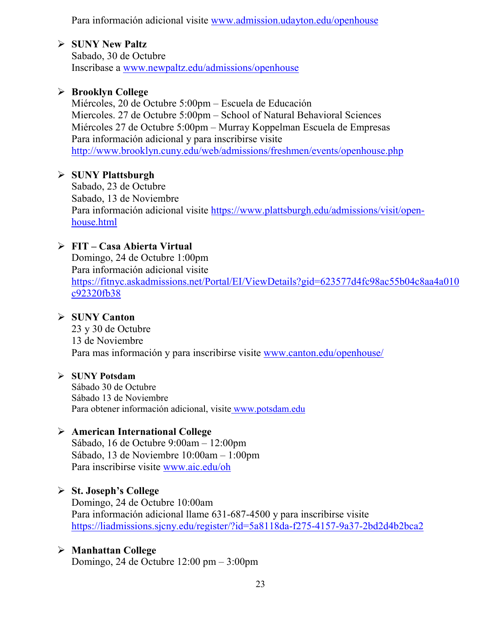Para información adicional visite [www.admission.udayton.edu/openhouse](http://www.admission.udayton.edu/openhouse)

### **SUNY New Paltz**

Sabado, 30 de Octubre Inscribase a [www.newpaltz.edu/admissions/openhouse](http://www.newpaltz.edu/admissions/openhouse)

### **Brooklyn College**

Miércoles, 20 de Octubre 5:00pm – Escuela de Educación Miercoles. 27 de Octubre 5:00pm – School of Natural Behavioral Sciences Miércoles 27 de Octubre 5:00pm – Murray Koppelman Escuela de Empresas Para información adicional y para inscribirse visite <http://www.brooklyn.cuny.edu/web/admissions/freshmen/events/openhouse.php>

### **SUNY Plattsburgh**

Sabado, 23 de Octubre Sabado, 13 de Noviembre Para información adicional visite [https://www.plattsburgh.edu/admissions/visit/open](https://www.plattsburgh.edu/admissions/visit/open-house.html)[house.html](https://www.plattsburgh.edu/admissions/visit/open-house.html)

### **FIT – Casa Abierta Virtual**

Domingo, 24 de Octubre 1:00pm Para información adicional visite [https://fitnyc.askadmissions.net/Portal/EI/ViewDetails?gid=623577d4fc98ac55b04c8aa4a010](https://fitnyc.askadmissions.net/Portal/EI/ViewDetails?gid=623577d4fc98ac55b04c8aa4a010c92320fb38) [c92320fb38](https://fitnyc.askadmissions.net/Portal/EI/ViewDetails?gid=623577d4fc98ac55b04c8aa4a010c92320fb38)

### **SUNY Canton**

23 y 30 de Octubre 13 de Noviembre Para mas información y para inscribirse visite [www.canton.edu/openhouse/](http://www.canton.edu/openhouse/)

### **SUNY Potsdam**

Sábado 30 de Octubre Sábado 13 de Noviembre Para obtener información adicional, visite [www.potsdam.edu](http://www.potsdam.edu/)

### **American International College**

Sábado, 16 de Octubre 9:00am – 12:00pm Sábado, 13 de Noviembre 10:00am – 1:00pm Para inscribirse visite [www.aic.edu/oh](http://www.aic.edu/oh)

### **St. Joseph's College**

Domingo, 24 de Octubre 10:00am Para información adicional llame 631-687-4500 y para inscribirse visite <https://liadmissions.sjcny.edu/register/?id=5a8118da-f275-4157-9a37-2bd2d4b2bca2>

### **Manhattan College**

Domingo, 24 de Octubre 12:00 pm – 3:00pm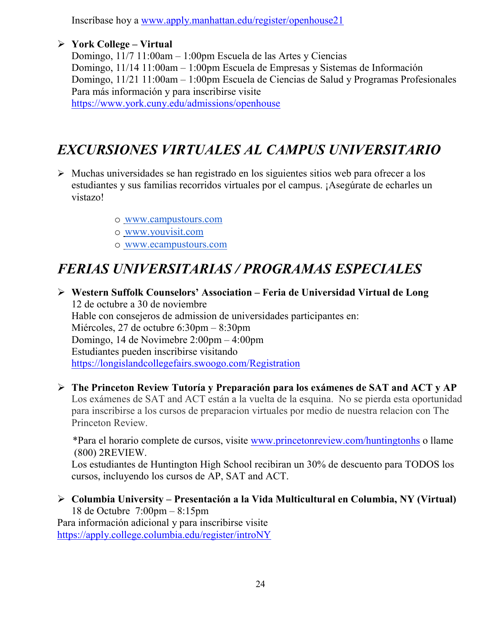Inscríbase hoy a [www.apply.manhattan.edu/register/openhouse21](http://www.apply.manhattan.edu/register/openhouse21) 

### **York College – Virtual**

Domingo, 11/7 11:00am – 1:00pm Escuela de las Artes y Ciencias Domingo, 11/14 11:00am – 1:00pm Escuela de Empresas y Sistemas de Información Domingo, 11/21 11:00am – 1:00pm Escuela de Ciencias de Salud y Programas Profesionales Para más información y para inscribirse visite <https://www.york.cuny.edu/admissions/openhouse>

# *EXCURSIONES VIRTUALES AL CAMPUS UNIVERSITARIO*

- $\triangleright$  Muchas universidades se han registrado en los siguientes sitios web para ofrecer a los estudiantes y sus familias recorridos virtuales por el campus. ¡Asegúrate de echarles un vistazo!
	- o [www.campustours.com](http://www.campustours.com/)
	- o [www.youvisit.com](http://www.youvisit.com/)
	- o [www.ecampustours.com](http://www.ecampustours.com/)

# *FERIAS UNIVERSITARIAS / PROGRAMAS ESPECIALES*

 **Western Suffolk Counselors' Association – Feria de Universidad Virtual de Long**  12 de octubre a 30 de noviembre Hable con consejeros de admission de universidades participantes en: Miércoles, 27 de octubre 6:30pm – 8:30pm Domingo, 14 de Novimebre 2:00pm – 4:00pm Estudiantes pueden inscribirse visitando <https://longislandcollegefairs.swoogo.com/Registration>

 **The Princeton Review Tutoría y Preparación para los exámenes de SAT and ACT y AP**  Los exámenes de SAT and ACT están a la vuelta de la esquina. No se pierda esta oportunidad para inscribirse a los cursos de preparacion virtuales por medio de nuestra relacion con The Princeton Review.

 \*Para el horario complete de cursos, visite [www.princetonreview.com/huntingtonhs](http://www.princetonreview.com/huntingtonhs) o llame (800) 2REVIEW.

Los estudiantes de Huntington High School recibiran un 30% de descuento para TODOS los cursos, incluyendo los cursos de AP, SAT and ACT.

 **Columbia University – Presentación a la Vida Multicultural en Columbia, NY (Virtual)** 18 de Octubre 7:00pm – 8:15pm Para información adicional y para inscribirse visite <https://apply.college.columbia.edu/register/introNY>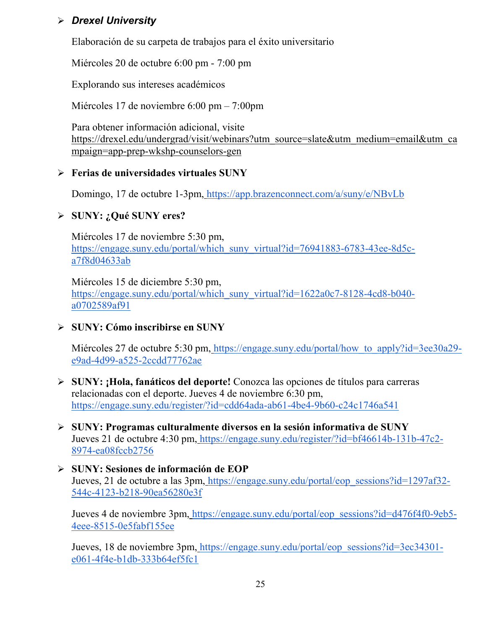### *Drexel University*

Elaboración de su carpeta de trabajos para el éxito universitario

Miércoles 20 de octubre 6:00 pm - 7:00 pm

Explorando sus intereses académicos

Miércoles 17 de noviembre 6:00 pm – 7:00pm

Para obtener información adicional, visit[e](https://drexel.edu/undergrad/visit/webinars?utm_source=slate&utm_medium=email&utm_campaign=app-prep-wkshp-counselors-gen) [https://drexel.edu/undergrad/visit/webinars?utm\\_source=slate&utm\\_medium=email&utm\\_ca](https://drexel.edu/undergrad/visit/webinars?utm_source=slate&utm_medium=email&utm_campaign=app-prep-wkshp-counselors-gen) [mpaign=app-prep-wkshp-counselors-gen](https://drexel.edu/undergrad/visit/webinars?utm_source=slate&utm_medium=email&utm_campaign=app-prep-wkshp-counselors-gen)

### **Ferias de universidades virtuales SUNY**

Domingo, 17 de octubre 1-3pm, <https://app.brazenconnect.com/a/suny/e/NBvLb>

### **SUNY: ¿Qué SUNY eres?**

Miércoles 17 de noviembre 5:30 pm[,](https://engage.suny.edu/portal/which_suny_virtual?id=76941883-6783-43ee-8d5c-a7f8d04633ab) [https://engage.suny.edu/portal/which\\_suny\\_virtual?id=76941883-6783-43ee-8d5c](https://engage.suny.edu/portal/which_suny_virtual?id=76941883-6783-43ee-8d5c-a7f8d04633ab)[a7f8d04633ab](https://engage.suny.edu/portal/which_suny_virtual?id=76941883-6783-43ee-8d5c-a7f8d04633ab)

Miércoles 15 de diciembre 5:30 pm[,](https://engage.suny.edu/portal/which_suny_virtual?id=1622a0c7-8128-4cd8-b040-a0702589af91) [https://engage.suny.edu/portal/which\\_suny\\_virtual?id=1622a0c7-8128-4cd8-b040](https://engage.suny.edu/portal/which_suny_virtual?id=1622a0c7-8128-4cd8-b040-a0702589af91) [a0702589af91](https://engage.suny.edu/portal/which_suny_virtual?id=1622a0c7-8128-4cd8-b040-a0702589af91)

### **SUNY: Cómo inscribirse en SUNY**

Miércoles 27 de octubre 5:30 pm, https://engage.suny.edu/portal/how to apply?id=3ee30a29[e9ad-4d99-a525-2ccdd77762ae](https://engage.suny.edu/portal/how_to_apply?id=3ee30a29-e9ad-4d99-a525-2ccdd77762ae)

- **SUNY: ¡Hola, fanáticos del deporte!** Conozca las opciones de títulos para carreras relacionadas con el deporte. Jueves 4 de noviembre 6:30 pm[,](https://engage.suny.edu/register/?id=cdd64ada-ab61-4be4-9b60-c24c1746a541) <https://engage.suny.edu/register/?id=cdd64ada-ab61-4be4-9b60-c24c1746a541>
- **SUNY: Programas culturalmente diversos en la sesión informativa de SUNY** Jueves 21 de octubre 4:30 pm, [https://engage.suny.edu/register/?id=bf46614b-131b-47c2-](https://engage.suny.edu/register/?id=bf46614b-131b-47c2-8974-ea08fccb2756) [8974-ea08fccb2756](https://engage.suny.edu/register/?id=bf46614b-131b-47c2-8974-ea08fccb2756)
- **SUNY: Sesiones de información de EOP** Jueves, 21 de octubre a las 3pm, [https://engage.suny.edu/portal/eop\\_sessions?id=1297af32-](https://engage.suny.edu/portal/eop_sessions?id=1297af32-544c-4123-b218-90ea56280e3f) [544c-4123-b218-90ea56280e3f](https://engage.suny.edu/portal/eop_sessions?id=1297af32-544c-4123-b218-90ea56280e3f)

Jueves 4 de noviembre 3pm, [https://engage.suny.edu/portal/eop\\_sessions?id=d476f4f0-9eb5-](https://engage.suny.edu/portal/eop_sessions?id=d476f4f0-9eb5-4eee-8515-0e5fabf155ee) [4eee-8515-0e5fabf155ee](https://engage.suny.edu/portal/eop_sessions?id=d476f4f0-9eb5-4eee-8515-0e5fabf155ee)

Jueves, 18 de noviembre 3pm, [https://engage.suny.edu/portal/eop\\_sessions?id=3ec34301](https://engage.suny.edu/portal/eop_sessions?id=3ec34301-e061-4f4e-b1db-333b64ef5fc1) [e061-4f4e-b1db-333b64ef5fc1](https://engage.suny.edu/portal/eop_sessions?id=3ec34301-e061-4f4e-b1db-333b64ef5fc1)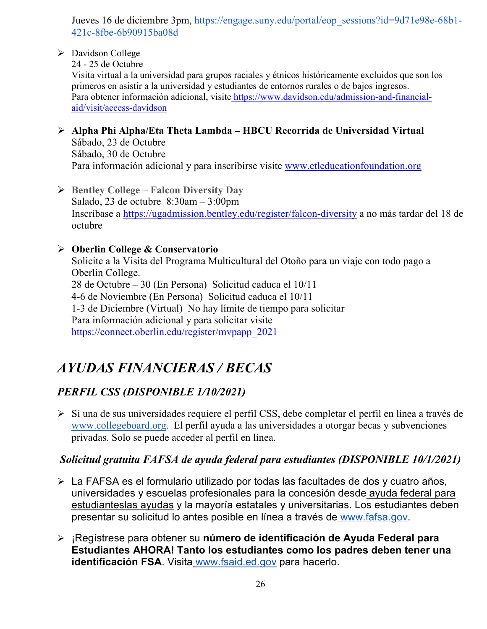Jueves 16 de diciembre 3pm, [https://engage.suny.edu/portal/eop\\_sessions?id=9d71e98e-68b1-](https://engage.suny.edu/portal/eop_sessions?id=9d71e98e-68b1-421c-8fbe-6b90915ba08d) [421c-8fbe-6b90915ba08d](https://engage.suny.edu/portal/eop_sessions?id=9d71e98e-68b1-421c-8fbe-6b90915ba08d)

> Davidson College

24 - 25 de Octubre

Visita virtual a la universidad para grupos raciales y étnicos históricamente excluidos que son los primeros en asistir a la universidad y estudiantes de entornos rurales o de bajos ingresos. Para obtener información adicional, visite [https://www.davidson.edu/admission-and-financial](https://www.davidson.edu/admission-and-financial-aid/visit/access-davidson)[aid/visit/access-davidson](https://www.davidson.edu/admission-and-financial-aid/visit/access-davidson)

- **Alpha Phi Alpha/Eta Theta Lambda – HBCU Recorrida de Universidad Virtual** Sábado, 23 de Octubre Sábado, 30 de Octubre Para información adicional y para inscribirse visite [www.etleducationfoundation.org](http://www.etleducationfoundation.org/)
- **Bentley College – Falcon Diversity Day** Salado, 23 de octubre 8:30am – 3:00pm Inscríbase a<https://ugadmission.bentley.edu/register/falcon-diversity> a no más tardar del 18 de octubre

### **Oberlin College & Conservatorio**

Solicite a la Visita del Programa Multicultural del Otoño para un viaje con todo pago a Oberlin College. 28 de Octubre – 30 (En Persona) Solicitud caduca el 10/11 4-6 de Noviembre (En Persona) Solicitud caduca el 10/11 1-3 de Diciembre (Virtual) No hay límite de tiempo para solicitar Para información adicional y para solicitar visite [https://connect.oberlin.edu/register/mvpapp\\_2021](https://connect.oberlin.edu/register/mvpapp_2021)

# *AYUDAS FINANCIERAS / BECAS*

### *PERFIL CSS (DISPONIBLE 1/10/2021)*

 Si una de sus universidades requiere el perfil CSS, debe completar el perfil en línea a través d[e](http://www.collegeboard.org/) [www.collegeboard.org](http://www.collegeboard.org/). El perfil ayuda a las universidades a otorgar becas y subvenciones privadas. Solo se puede acceder al perfil en línea.

### *Solicitud gratuita FAFSA de ayuda federal para estudiantes (DISPONIBLE 10/1/2021)*

- La FAFSA es el formulario utilizado por todas las facultades de dos y cuatro años, universidades y escuelas profesionales para la concesión desde [ayuda federal para](http://studentaid.ed.gov/students/publications/student_guide/2010-2011/english/typesofFSA_grants.htm)  [estudianteslas ayudas](http://studentaid.ed.gov/students/publications/student_guide/2010-2011/english/typesofFSA_grants.htm) y la mayoría estatales y universitarias. Los estudiantes deben presentar su solicitud lo antes posible en línea a través de [www.fafsa.gov.](http://www.fafsa.gov/)
- ¡Regístrese para obtener su **número de identificación de Ayuda Federal para Estudiantes AHORA! Tanto los estudiantes como los padres deben tener una identificación FSA**. Visita [www.fsaid.ed.gov](http://www.fsaid.ed.gov/) para hacerlo.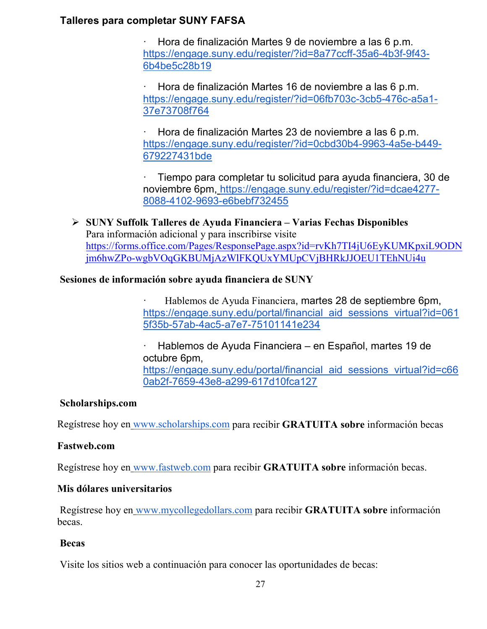### **Talleres para completar SUNY FAFSA**

· Hora de finalización Martes 9 de noviembre a las 6 p.m[.](https://engage.suny.edu/register/?id=8a77ccff-35a6-4b3f-9f43-6b4be5c28b19) [https://engage.suny.edu/register/?id=8a77ccff-35a6-4b3f-9f43-](https://engage.suny.edu/register/?id=8a77ccff-35a6-4b3f-9f43-6b4be5c28b19) [6b4be5c28b19](https://engage.suny.edu/register/?id=8a77ccff-35a6-4b3f-9f43-6b4be5c28b19)

· Hora de finalización Martes 16 de noviembre a las 6 p.m[.](https://engage.suny.edu/register/?id=06fb703c-3cb5-476c-a5a1-37e73708f764) [https://engage.suny.edu/register/?id=06fb703c-3cb5-476c-a5a1-](https://engage.suny.edu/register/?id=06fb703c-3cb5-476c-a5a1-37e73708f764) [37e73708f764](https://engage.suny.edu/register/?id=06fb703c-3cb5-476c-a5a1-37e73708f764)

· Hora de finalización Martes 23 de noviembre a las 6 p.m[.](https://engage.suny.edu/register/?id=0cbd30b4-9963-4a5e-b449-679227431bde) [https://engage.suny.edu/register/?id=0cbd30b4-9963-4a5e-b449-](https://engage.suny.edu/register/?id=0cbd30b4-9963-4a5e-b449-679227431bde) [679227431bde](https://engage.suny.edu/register/?id=0cbd30b4-9963-4a5e-b449-679227431bde)

· Tiempo para completar tu solicitud para ayuda financiera, 30 de noviembre 6pm, [https://engage.suny.edu/register/?id=dcae4277-](https://engage.suny.edu/register/?id=dcae4277-8088-4102-9693-e6bebf732455) [8088-4102-9693-e6bebf732455](https://engage.suny.edu/register/?id=dcae4277-8088-4102-9693-e6bebf732455)

 **SUNY Suffolk Talleres de Ayuda Financiera – Varias Fechas Disponibles** Para información adicional y para inscribirse visite [https://forms.office.com/Pages/ResponsePage.aspx?id=rvKh7TI4jU6EyKUMKpxiL9ODN](https://forms.office.com/Pages/ResponsePage.aspx?id=rvKh7TI4jU6EyKUMKpxiL9ODNjm6hwZPo-wgbVOqGKBUMjAzWlFKQUxYMUpCVjBHRkJJOEU1TEhNUi4u) [jm6hwZPo-wgbVOqGKBUMjAzWlFKQUxYMUpCVjBHRkJJOEU1TEhNUi4u](https://forms.office.com/Pages/ResponsePage.aspx?id=rvKh7TI4jU6EyKUMKpxiL9ODNjm6hwZPo-wgbVOqGKBUMjAzWlFKQUxYMUpCVjBHRkJJOEU1TEhNUi4u)

### **Sesiones de información sobre ayuda financiera de SUNY**

· Hablemos de Ayuda Financiera, martes 28 de septiembre 6pm[,](https://engage.suny.edu/portal/financial_aid_sessions_virtual?id=0615f35b-57ab-4ac5-a7e7-75101141e234) [https://engage.suny.edu/portal/financial\\_aid\\_sessions\\_virtual?id=061](https://engage.suny.edu/portal/financial_aid_sessions_virtual?id=0615f35b-57ab-4ac5-a7e7-75101141e234) [5f35b-57ab-4ac5-a7e7-75101141e234](https://engage.suny.edu/portal/financial_aid_sessions_virtual?id=0615f35b-57ab-4ac5-a7e7-75101141e234)

· Hablemos de Ayuda Financiera – [en Español, martes 19 de](https://engage.suny.edu/portal/financial_aid_sessions_virtual?id=c660ab2f-7659-43e8-a299-617d10fca127)  octubre 6pm, https://engage.suny.edu/portal/financial aid sessions virtual?id=c66 [0ab2f-7659-43e8-a299-617d10fca127](https://engage.suny.edu/portal/financial_aid_sessions_virtual?id=c660ab2f-7659-43e8-a299-617d10fca127)

### **Scholarships.com**

Regístrese hoy en [www.scholarships.com](http://www.scholarships.com/) para recibir **GRATUITA sobre** información becas

### **Fastweb.com**

Regístrese hoy en [www.fastweb.com](http://www.fastweb.com/) para recibir **GRATUITA sobre** información becas.

### **Mis dólares universitarios**

Regístrese hoy en [www.mycollegedollars.com](http://www.mycollegedollars.com/) para recibir **GRATUITA sobre** información becas.

### **Becas**

Visite los sitios web a continuación para conocer las oportunidades de becas: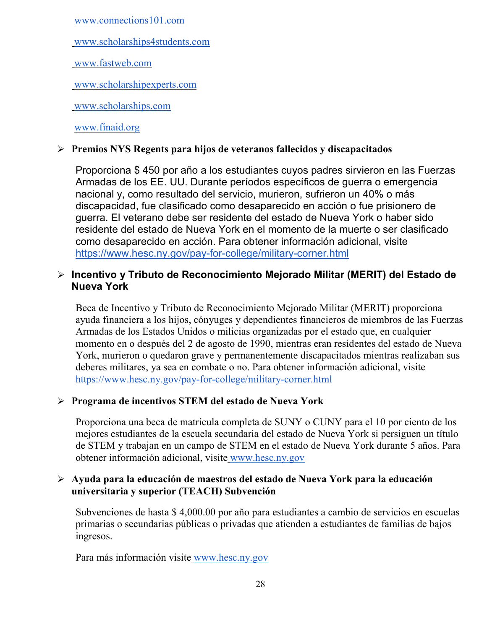[www.connections101.com](http://www.connections101.com/)

[www.scholarships4students.com](http://www.scholarships4students.com/)

[www.fastweb.com](http://www.fastweb.com/)

[www.scholarshipexperts.com](http://www.scholarshipexperts.com/)

[www.scholarships.com](http://www.scholarships.com/)

[www.finaid.org](http://www.finaid.org/)

### **Premios NYS Regents para hijos de veteranos fallecidos y discapacitados**

Proporciona \$ 450 por año a los estudiantes cuyos padres sirvieron en las Fuerzas Armadas de los EE. UU. Durante períodos específicos de guerra o emergencia nacional y, como resultado del servicio, murieron, sufrieron un 40% o más discapacidad, fue clasificado como desaparecido en acción o fue prisionero de guerra. El veterano debe ser residente del estado de Nueva York o haber sido residente del estado de Nueva York en el momento de la muerte o ser clasificado como desaparecido en acción. Para obtener información adicional, visit[e](https://www.hesc.ny.gov/pay-for-college/military-corner.html) <https://www.hesc.ny.gov/pay-for-college/military-corner.html>

### **Incentivo y Tributo de Reconocimiento Mejorado Militar (MERIT) del Estado de Nueva York**

Beca de Incentivo y Tributo de Reconocimiento Mejorado Militar (MERIT) proporciona ayuda financiera a los hijos, cónyuges y dependientes financieros de miembros de las Fuerzas Armadas de los Estados Unidos o milicias organizadas por el estado que, en cualquier momento en o después del 2 de agosto de 1990, mientras eran residentes del estado de Nueva York, murieron o quedaron grave y permanentemente discapacitados mientras realizaban sus deberes militares, ya sea en combate o no. Para obtener información adicional, visit[e](https://www.hesc.ny.gov/pay-for-college/military-corner.html) <https://www.hesc.ny.gov/pay-for-college/military-corner.html>

### **Programa de incentivos STEM del estado de Nueva York**

Proporciona una beca de matrícula completa de SUNY o CUNY para el 10 por ciento de los mejores estudiantes de la escuela secundaria del estado de Nueva York si persiguen un título de STEM y trabajan en un campo de STEM en el estado de Nueva York durante 5 años. Para obtener información adicional, visite [www.hesc.ny.gov](http://www.hesc.ny.gov/)

### **Ayuda para la educación de maestros del estado de Nueva York para la educación universitaria y superior (TEACH) Subvención**

Subvenciones de hasta \$ 4,000.00 por año para estudiantes a cambio de servicios en escuelas primarias o secundarias públicas o privadas que atienden a estudiantes de familias de bajos ingresos.

Para más información visite [www.hesc.ny.gov](http://www.hesc.ny.gov/)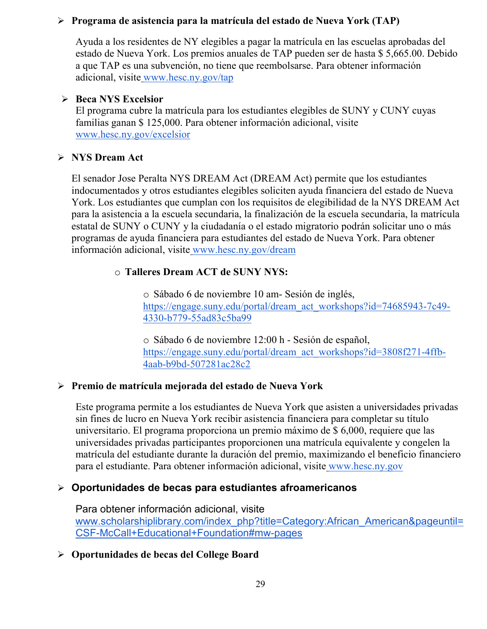### **Programa de asistencia para la matrícula del estado de Nueva York (TAP)**

Ayuda a los residentes de NY elegibles a pagar la matrícula en las escuelas aprobadas del estado de Nueva York. Los premios anuales de TAP pueden ser de hasta \$ 5,665.00. Debido a que TAP es una subvención, no tiene que reembolsarse. Para obtener información adicional, visite [www.hesc.ny.gov/tap](http://www.hesc.ny.gov/tap)

### **Beca NYS Excelsior**

El programa cubre la matrícula para los estudiantes elegibles de SUNY y CUNY cuyas familias ganan \$ 125,000. Para obtener información adicional, visit[e](http://www.hesc.ny.gov/) [www.hesc.ny.gov/](http://www.hesc.ny.gov/)excelsior

### **NYS Dream Act**

El senador Jose Peralta NYS DREAM Act (DREAM Act) permite que los estudiantes indocumentados y otros estudiantes elegibles soliciten ayuda financiera del estado de Nueva York. Los estudiantes que cumplan con los requisitos de elegibilidad de la NYS DREAM Act para la asistencia a la escuela secundaria, la finalización de la escuela secundaria, la matrícula estatal de SUNY o CUNY y la ciudadanía o el estado migratorio podrán solicitar uno o más programas de ayuda financiera para estudiantes del estado de Nueva York. Para obtener información adicional, visite [www.hesc.ny.gov/dream](http://www.hesc.ny.gov/dream)

### o **Talleres Dream ACT de SUNY NYS:**

o Sábado 6 de noviembre 10 am- Sesión de inglés[,](https://engage.suny.edu/portal/dream_act_workshops?id=74685943-7c49-4330-b779-55ad83c5ba99) [https://engage.suny.edu/portal/dream\\_act\\_workshops?id=74685943-7c49-](https://engage.suny.edu/portal/dream_act_workshops?id=74685943-7c49-4330-b779-55ad83c5ba99) [4330-b779-55ad83c5ba99](https://engage.suny.edu/portal/dream_act_workshops?id=74685943-7c49-4330-b779-55ad83c5ba99)

o Sábado 6 de noviembre 12:00 h - Sesión de español[,](https://engage.suny.edu/portal/dream_act_workshops?id=3808f271-4ffb-4aab-b9bd-507281ac28c2) [https://engage.suny.edu/portal/dream\\_act\\_workshops?id=3808f271-4ffb-](https://engage.suny.edu/portal/dream_act_workshops?id=3808f271-4ffb-4aab-b9bd-507281ac28c2)[4aab-b9bd-507281ac28c2](https://engage.suny.edu/portal/dream_act_workshops?id=3808f271-4ffb-4aab-b9bd-507281ac28c2)

### **Premio de matrícula mejorada del estado de Nueva York**

Este programa permite a los estudiantes de Nueva York que asisten a universidades privadas sin fines de lucro en Nueva York recibir asistencia financiera para completar su título universitario. El programa proporciona un premio máximo de \$ 6,000, requiere que las universidades privadas participantes proporcionen una matrícula equivalente y congelen la matrícula del estudiante durante la duración del premio, maximizando el beneficio financiero para el estudiante. Para obtener información adicional, visite [www.hesc.ny.gov](http://www.hesc.ny.gov/)

### **Oportunidades de becas para estudiantes afroamericanos**

Para obtener información adicional, visit[e](http://www.scholarshiplibrary.com/index_php?title=Category:African_American&pageuntil=CSF-McCall+Educational+Foundation#mw-pages) [www.scholarshiplibrary.com/index\\_php?title=Category:African\\_American&pageuntil=](http://www.scholarshiplibrary.com/index_php?title=Category:African_American&pageuntil=CSF-McCall+Educational+Foundation#mw-pages) [CSF-McCall+Educational+Foundation#mw-pages](http://www.scholarshiplibrary.com/index_php?title=Category:African_American&pageuntil=CSF-McCall+Educational+Foundation#mw-pages)

### **Oportunidades de becas del College Board**